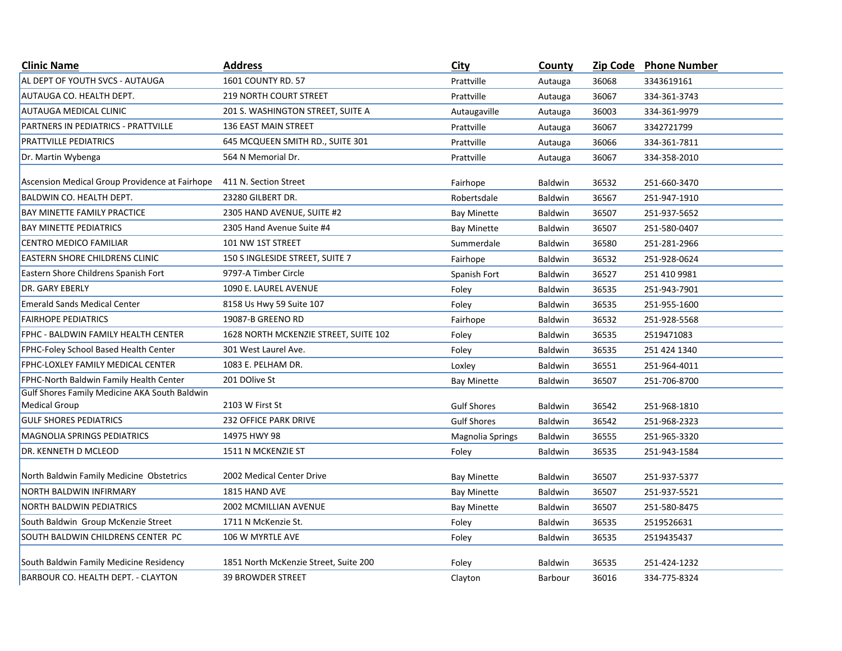| <b>Clinic Name</b>                             | <b>Address</b>                        | <b>City</b>        | County         |       | Zip Code Phone Number |
|------------------------------------------------|---------------------------------------|--------------------|----------------|-------|-----------------------|
| AL DEPT OF YOUTH SVCS - AUTAUGA                | 1601 COUNTY RD. 57                    | Prattville         | Autauga        | 36068 | 3343619161            |
| AUTAUGA CO. HEALTH DEPT.                       | <b>219 NORTH COURT STREET</b>         | Prattville         | Autauga        | 36067 | 334-361-3743          |
| <b>AUTAUGA MEDICAL CLINIC</b>                  | 201 S. WASHINGTON STREET, SUITE A     | Autaugaville       | Autauga        | 36003 | 334-361-9979          |
| PARTNERS IN PEDIATRICS - PRATTVILLE            | 136 EAST MAIN STREET                  | Prattville         | Autauga        | 36067 | 3342721799            |
| <b>PRATTVILLE PEDIATRICS</b>                   | 645 MCQUEEN SMITH RD., SUITE 301      | Prattville         | Autauga        | 36066 | 334-361-7811          |
| Dr. Martin Wybenga                             | 564 N Memorial Dr.                    | Prattville         | Autauga        | 36067 | 334-358-2010          |
| Ascension Medical Group Providence at Fairhope | 411 N. Section Street                 | Fairhope           | <b>Baldwin</b> | 36532 | 251-660-3470          |
| <b>BALDWIN CO. HEALTH DEPT.</b>                | 23280 GILBERT DR.                     | Robertsdale        | <b>Baldwin</b> | 36567 | 251-947-1910          |
| <b>BAY MINETTE FAMILY PRACTICE</b>             | 2305 HAND AVENUE, SUITE #2            | <b>Bay Minette</b> | Baldwin        | 36507 | 251-937-5652          |
| <b>BAY MINETTE PEDIATRICS</b>                  | 2305 Hand Avenue Suite #4             | <b>Bay Minette</b> | <b>Baldwin</b> | 36507 | 251-580-0407          |
| CENTRO MEDICO FAMILIAR                         | 101 NW 1ST STREET                     | Summerdale         | <b>Baldwin</b> | 36580 | 251-281-2966          |
| <b>EASTERN SHORE CHILDRENS CLINIC</b>          | 150 S INGLESIDE STREET, SUITE 7       | Fairhope           | <b>Baldwin</b> | 36532 | 251-928-0624          |
| Eastern Shore Childrens Spanish Fort           | 9797-A Timber Circle                  | Spanish Fort       | <b>Baldwin</b> | 36527 | 251 410 9981          |
| <b>DR. GARY EBERLY</b>                         | 1090 E. LAUREL AVENUE                 | Foley              | <b>Baldwin</b> | 36535 | 251-943-7901          |
| <b>Emerald Sands Medical Center</b>            | 8158 Us Hwy 59 Suite 107              | Foley              | <b>Baldwin</b> | 36535 | 251-955-1600          |
| <b>FAIRHOPE PEDIATRICS</b>                     | 19087-B GREENO RD                     | Fairhope           | <b>Baldwin</b> | 36532 | 251-928-5568          |
| FPHC - BALDWIN FAMILY HEALTH CENTER            | 1628 NORTH MCKENZIE STREET, SUITE 102 | Foley              | <b>Baldwin</b> | 36535 | 2519471083            |
| FPHC-Foley School Based Health Center          | 301 West Laurel Ave.                  | Foley              | <b>Baldwin</b> | 36535 | 251 424 1340          |
| FPHC-LOXLEY FAMILY MEDICAL CENTER              | 1083 E. PELHAM DR.                    | Loxley             | <b>Baldwin</b> | 36551 | 251-964-4011          |
| FPHC-North Baldwin Family Health Center        | 201 DOlive St                         | <b>Bay Minette</b> | <b>Baldwin</b> | 36507 | 251-706-8700          |
| Gulf Shores Family Medicine AKA South Baldwin  |                                       |                    |                |       |                       |
| <b>Medical Group</b>                           | 2103 W First St                       | <b>Gulf Shores</b> | <b>Baldwin</b> | 36542 | 251-968-1810          |
| <b>GULF SHORES PEDIATRICS</b>                  | 232 OFFICE PARK DRIVE                 | <b>Gulf Shores</b> | <b>Baldwin</b> | 36542 | 251-968-2323          |
| <b>MAGNOLIA SPRINGS PEDIATRICS</b>             | 14975 HWY 98                          | Magnolia Springs   | <b>Baldwin</b> | 36555 | 251-965-3320          |
| DR. KENNETH D MCLEOD                           | 1511 N MCKENZIE ST                    | Foley              | <b>Baldwin</b> | 36535 | 251-943-1584          |
| North Baldwin Family Medicine Obstetrics       | 2002 Medical Center Drive             | <b>Bay Minette</b> | <b>Baldwin</b> | 36507 | 251-937-5377          |
| <b>NORTH BALDWIN INFIRMARY</b>                 | 1815 HAND AVE                         | <b>Bay Minette</b> | <b>Baldwin</b> | 36507 | 251-937-5521          |
| <b>NORTH BALDWIN PEDIATRICS</b>                | 2002 MCMILLIAN AVENUE                 | <b>Bay Minette</b> | <b>Baldwin</b> | 36507 | 251-580-8475          |
| South Baldwin Group McKenzie Street            | 1711 N McKenzie St.                   | Foley              | <b>Baldwin</b> | 36535 | 2519526631            |
| SOUTH BALDWIN CHILDRENS CENTER PC              | 106 W MYRTLE AVE                      | Foley              | Baldwin        | 36535 | 2519435437            |
| South Baldwin Family Medicine Residency        | 1851 North McKenzie Street, Suite 200 | Foley              | <b>Baldwin</b> | 36535 | 251-424-1232          |
| BARBOUR CO. HEALTH DEPT. - CLAYTON             | <b>39 BROWDER STREET</b>              | Clayton            | <b>Barbour</b> | 36016 | 334-775-8324          |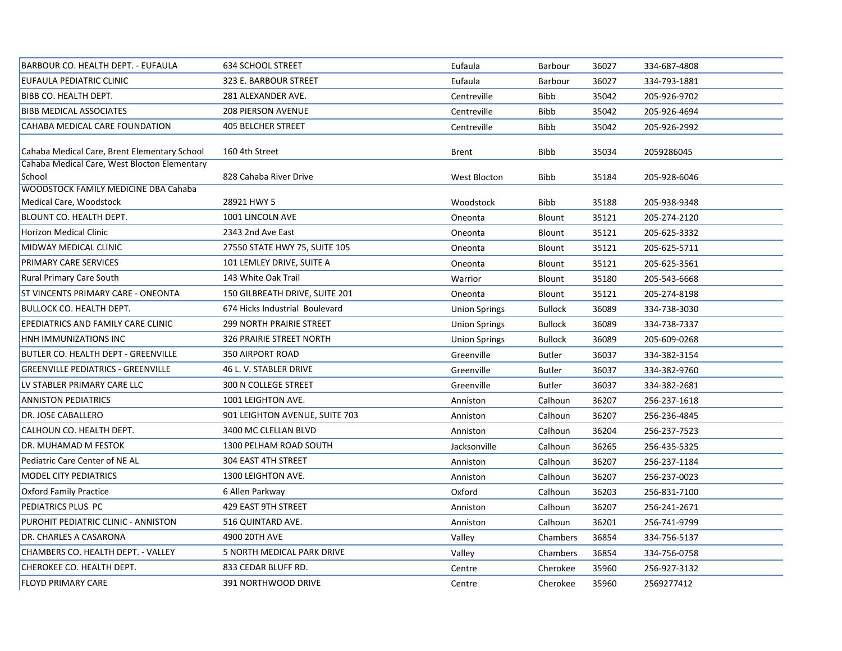| BARBOUR CO. HEALTH DEPT. - EUFAULA                    | <b>634 SCHOOL STREET</b>        | Eufaula              | Barbour        | 36027 | 334-687-4808 |  |
|-------------------------------------------------------|---------------------------------|----------------------|----------------|-------|--------------|--|
| EUFAULA PEDIATRIC CLINIC                              | 323 E. BARBOUR STREET           | Eufaula              | Barbour        | 36027 | 334-793-1881 |  |
| BIBB CO. HEALTH DEPT.                                 | 281 ALEXANDER AVE.              | Centreville          | <b>Bibb</b>    | 35042 | 205-926-9702 |  |
| <b>BIBB MEDICAL ASSOCIATES</b>                        | <b>208 PIERSON AVENUE</b>       | Centreville          | <b>Bibb</b>    | 35042 | 205-926-4694 |  |
| CAHABA MEDICAL CARE FOUNDATION                        | <b>405 BELCHER STREET</b>       | Centreville          | <b>Bibb</b>    | 35042 | 205-926-2992 |  |
| Cahaba Medical Care, Brent Elementary School          | 160 4th Street                  | <b>Brent</b>         | Bibb           | 35034 | 2059286045   |  |
| Cahaba Medical Care, West Blocton Elementary          |                                 |                      |                |       |              |  |
| School<br><b>WOODSTOCK FAMILY MEDICINE DBA Cahaba</b> | 828 Cahaba River Drive          | West Blocton         | Bibb           | 35184 | 205-928-6046 |  |
| Medical Care, Woodstock                               | 28921 HWY 5                     | Woodstock            | <b>Bibb</b>    | 35188 | 205-938-9348 |  |
| <b>BLOUNT CO. HEALTH DEPT.</b>                        | 1001 LINCOLN AVE                | Oneonta              | Blount         | 35121 | 205-274-2120 |  |
| <b>Horizon Medical Clinic</b>                         | 2343 2nd Ave East               | Oneonta              | Blount         | 35121 | 205-625-3332 |  |
| <b>MIDWAY MEDICAL CLINIC</b>                          | 27550 STATE HWY 75, SUITE 105   | Oneonta              | Blount         | 35121 | 205-625-5711 |  |
| PRIMARY CARE SERVICES                                 | 101 LEMLEY DRIVE, SUITE A       | Oneonta              | Blount         | 35121 | 205-625-3561 |  |
| <b>Rural Primary Care South</b>                       | 143 White Oak Trail             | Warrior              | Blount         | 35180 | 205-543-6668 |  |
| ST VINCENTS PRIMARY CARE - ONEONTA                    | 150 GILBREATH DRIVE, SUITE 201  | Oneonta              | Blount         | 35121 | 205-274-8198 |  |
| <b>BULLOCK CO. HEALTH DEPT.</b>                       | 674 Hicks Industrial Boulevard  | <b>Union Springs</b> | <b>Bullock</b> | 36089 | 334-738-3030 |  |
| <b>EPEDIATRICS AND FAMILY CARE CLINIC</b>             | <b>299 NORTH PRAIRIE STREET</b> | <b>Union Springs</b> | <b>Bullock</b> | 36089 | 334-738-7337 |  |
| HNH IMMUNIZATIONS INC                                 | 326 PRAIRIE STREET NORTH        | <b>Union Springs</b> | <b>Bullock</b> | 36089 | 205-609-0268 |  |
| <b>BUTLER CO. HEALTH DEPT - GREENVILLE</b>            | <b>350 AIRPORT ROAD</b>         | Greenville           | <b>Butler</b>  | 36037 | 334-382-3154 |  |
| <b>GREENVILLE PEDIATRICS - GREENVILLE</b>             | 46 L. V. STABLER DRIVE          | Greenville           | <b>Butler</b>  | 36037 | 334-382-9760 |  |
| LV STABLER PRIMARY CARE LLC                           | 300 N COLLEGE STREET            | Greenville           | Butler         | 36037 | 334-382-2681 |  |
| <b>ANNISTON PEDIATRICS</b>                            | 1001 LEIGHTON AVE.              | Anniston             | Calhoun        | 36207 | 256-237-1618 |  |
| DR. JOSE CABALLERO                                    | 901 LEIGHTON AVENUE, SUITE 703  | Anniston             | Calhoun        | 36207 | 256-236-4845 |  |
| CALHOUN CO. HEALTH DEPT.                              | 3400 MC CLELLAN BLVD            | Anniston             | Calhoun        | 36204 | 256-237-7523 |  |
| DR. MUHAMAD M FESTOK                                  | 1300 PELHAM ROAD SOUTH          | Jacksonville         | Calhoun        | 36265 | 256-435-5325 |  |
| Pediatric Care Center of NE AL                        | 304 EAST 4TH STREET             | Anniston             | Calhoun        | 36207 | 256-237-1184 |  |
| <b>MODEL CITY PEDIATRICS</b>                          | 1300 LEIGHTON AVE.              | Anniston             | Calhoun        | 36207 | 256-237-0023 |  |
| <b>Oxford Family Practice</b>                         | 6 Allen Parkway                 | Oxford               | Calhoun        | 36203 | 256-831-7100 |  |
| PEDIATRICS PLUS PC                                    | 429 EAST 9TH STREET             | Anniston             | Calhoun        | 36207 | 256-241-2671 |  |
| PUROHIT PEDIATRIC CLINIC - ANNISTON                   | 516 QUINTARD AVE.               | Anniston             | Calhoun        | 36201 | 256-741-9799 |  |
| DR. CHARLES A CASARONA                                | 4900 20TH AVE                   | Valley               | Chambers       | 36854 | 334-756-5137 |  |
| CHAMBERS CO. HEALTH DEPT. - VALLEY                    | 5 NORTH MEDICAL PARK DRIVE      | Valley               | Chambers       | 36854 | 334-756-0758 |  |
| CHEROKEE CO. HEALTH DEPT.                             | 833 CEDAR BLUFF RD.             | Centre               | Cherokee       | 35960 | 256-927-3132 |  |
| <b>FLOYD PRIMARY CARE</b>                             | 391 NORTHWOOD DRIVE             | Centre               | Cherokee       | 35960 | 2569277412   |  |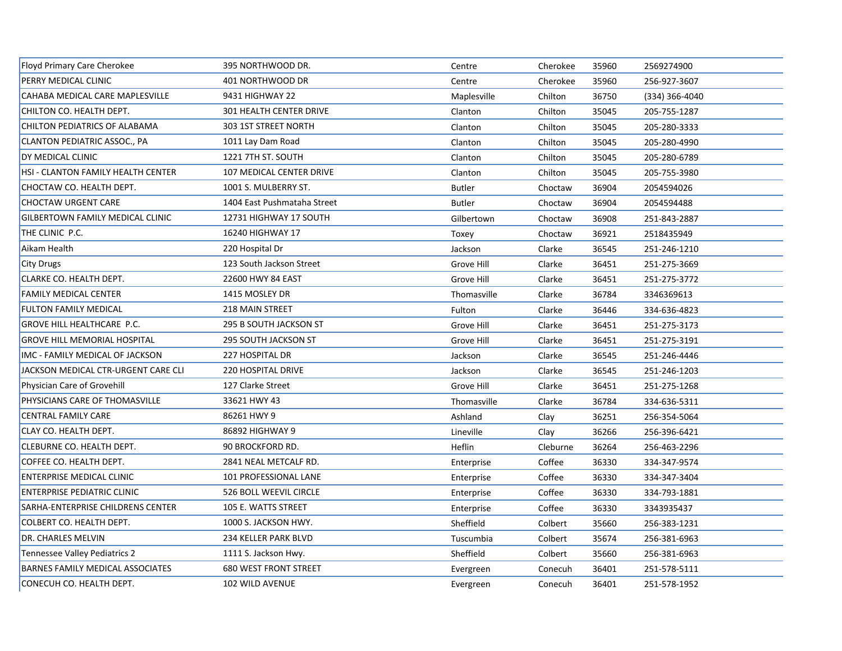| Floyd Primary Care Cherokee             | 395 NORTHWOOD DR.           | Centre        | Cherokee | 35960 | 2569274900     |
|-----------------------------------------|-----------------------------|---------------|----------|-------|----------------|
| PERRY MEDICAL CLINIC                    | 401 NORTHWOOD DR            | Centre        | Cherokee | 35960 | 256-927-3607   |
| CAHABA MEDICAL CARE MAPLESVILLE         | 9431 HIGHWAY 22             | Maplesville   | Chilton  | 36750 | (334) 366-4040 |
| CHILTON CO. HEALTH DEPT.                | 301 HEALTH CENTER DRIVE     | Clanton       | Chilton  | 35045 | 205-755-1287   |
| CHILTON PEDIATRICS OF ALABAMA           | 303 1ST STREET NORTH        | Clanton       | Chilton  | 35045 | 205-280-3333   |
| CLANTON PEDIATRIC ASSOC., PA            | 1011 Lay Dam Road           | Clanton       | Chilton  | 35045 | 205-280-4990   |
| DY MEDICAL CLINIC                       | 1221 7TH ST. SOUTH          | Clanton       | Chilton  | 35045 | 205-280-6789   |
| HSI - CLANTON FAMILY HEALTH CENTER      | 107 MEDICAL CENTER DRIVE    | Clanton       | Chilton  | 35045 | 205-755-3980   |
| CHOCTAW CO. HEALTH DEPT.                | 1001 S. MULBERRY ST.        | <b>Butler</b> | Choctaw  | 36904 | 2054594026     |
| <b>CHOCTAW URGENT CARE</b>              | 1404 East Pushmataha Street | <b>Butler</b> | Choctaw  | 36904 | 2054594488     |
| <b>GILBERTOWN FAMILY MEDICAL CLINIC</b> | 12731 HIGHWAY 17 SOUTH      | Gilbertown    | Choctaw  | 36908 | 251-843-2887   |
| THE CLINIC P.C.                         | 16240 HIGHWAY 17            | Toxey         | Choctaw  | 36921 | 2518435949     |
| Aikam Health                            | 220 Hospital Dr             | Jackson       | Clarke   | 36545 | 251-246-1210   |
| City Drugs                              | 123 South Jackson Street    | Grove Hill    | Clarke   | 36451 | 251-275-3669   |
| CLARKE CO. HEALTH DEPT.                 | 22600 HWY 84 EAST           | Grove Hill    | Clarke   | 36451 | 251-275-3772   |
| <b>FAMILY MEDICAL CENTER</b>            | 1415 MOSLEY DR              | Thomasville   | Clarke   | 36784 | 3346369613     |
| <b>FULTON FAMILY MEDICAL</b>            | 218 MAIN STREET             | Fulton        | Clarke   | 36446 | 334-636-4823   |
| <b>GROVE HILL HEALTHCARE P.C.</b>       | 295 B SOUTH JACKSON ST      | Grove Hill    | Clarke   | 36451 | 251-275-3173   |
| <b>GROVE HILL MEMORIAL HOSPITAL</b>     | <b>295 SOUTH JACKSON ST</b> | Grove Hill    | Clarke   | 36451 | 251-275-3191   |
| IMC - FAMILY MEDICAL OF JACKSON         | 227 HOSPITAL DR             | Jackson       | Clarke   | 36545 | 251-246-4446   |
| JACKSON MEDICAL CTR-URGENT CARE CLI     | <b>220 HOSPITAL DRIVE</b>   | Jackson       | Clarke   | 36545 | 251-246-1203   |
| Physician Care of Grovehill             | 127 Clarke Street           | Grove Hill    | Clarke   | 36451 | 251-275-1268   |
| PHYSICIANS CARE OF THOMASVILLE          | 33621 HWY 43                | Thomasville   | Clarke   | 36784 | 334-636-5311   |
| <b>CENTRAL FAMILY CARE</b>              | 86261 HWY 9                 | Ashland       | Clay     | 36251 | 256-354-5064   |
| <b>CLAY CO. HEALTH DEPT.</b>            | 86892 HIGHWAY 9             | Lineville     | Clay     | 36266 | 256-396-6421   |
| CLEBURNE CO. HEALTH DEPT.               | 90 BROCKFORD RD.            | Heflin        | Cleburne | 36264 | 256-463-2296   |
| COFFEE CO. HEALTH DEPT.                 | 2841 NEAL METCALF RD.       | Enterprise    | Coffee   | 36330 | 334-347-9574   |
| <b>ENTERPRISE MEDICAL CLINIC</b>        | 101 PROFESSIONAL LANE       | Enterprise    | Coffee   | 36330 | 334-347-3404   |
| <b>ENTERPRISE PEDIATRIC CLINIC</b>      | 526 BOLL WEEVIL CIRCLE      | Enterprise    | Coffee   | 36330 | 334-793-1881   |
| SARHA-ENTERPRISE CHILDRENS CENTER       | 105 E. WATTS STREET         | Enterprise    | Coffee   | 36330 | 3343935437     |
| COLBERT CO. HEALTH DEPT.                | 1000 S. JACKSON HWY.        | Sheffield     | Colbert  | 35660 | 256-383-1231   |
| DR. CHARLES MELVIN                      | 234 KELLER PARK BLVD        | Tuscumbia     | Colbert  | 35674 | 256-381-6963   |
| Tennessee Valley Pediatrics 2           | 1111 S. Jackson Hwy.        | Sheffield     | Colbert  | 35660 | 256-381-6963   |
| <b>BARNES FAMILY MEDICAL ASSOCIATES</b> | 680 WEST FRONT STREET       | Evergreen     | Conecuh  | 36401 | 251-578-5111   |
| CONECUH CO. HEALTH DEPT.                | 102 WILD AVENUE             | Evergreen     | Conecuh  | 36401 | 251-578-1952   |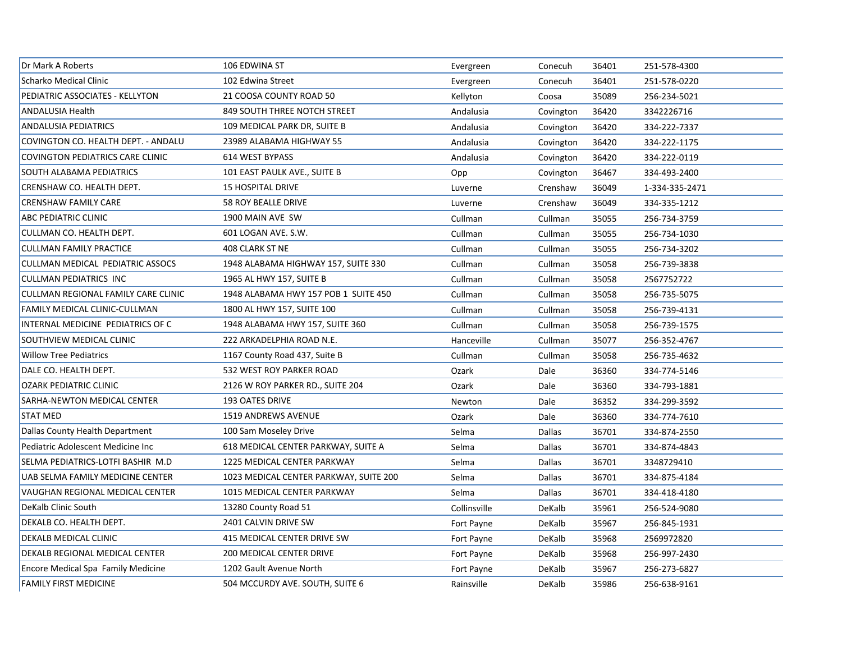| Dr Mark A Roberts                          | 106 EDWINA ST                          | Evergreen    | Conecuh       | 36401 | 251-578-4300   |
|--------------------------------------------|----------------------------------------|--------------|---------------|-------|----------------|
| Scharko Medical Clinic                     | 102 Edwina Street                      | Evergreen    | Conecuh       | 36401 | 251-578-0220   |
| PEDIATRIC ASSOCIATES - KELLYTON            | 21 COOSA COUNTY ROAD 50                | Kellyton     | Coosa         | 35089 | 256-234-5021   |
| <b>ANDALUSIA Health</b>                    | 849 SOUTH THREE NOTCH STREET           | Andalusia    | Covington     | 36420 | 3342226716     |
| <b>ANDALUSIA PEDIATRICS</b>                | 109 MEDICAL PARK DR, SUITE B           | Andalusia    | Covington     | 36420 | 334-222-7337   |
| COVINGTON CO. HEALTH DEPT. - ANDALU        | 23989 ALABAMA HIGHWAY 55               | Andalusia    | Covington     | 36420 | 334-222-1175   |
| COVINGTON PEDIATRICS CARE CLINIC           | 614 WEST BYPASS                        | Andalusia    | Covington     | 36420 | 334-222-0119   |
| SOUTH ALABAMA PEDIATRICS                   | 101 EAST PAULK AVE., SUITE B           | Opp          | Covington     | 36467 | 334-493-2400   |
| CRENSHAW CO. HEALTH DEPT.                  | <b>15 HOSPITAL DRIVE</b>               | Luverne      | Crenshaw      | 36049 | 1-334-335-2471 |
| <b>CRENSHAW FAMILY CARE</b>                | 58 ROY BEALLE DRIVE                    | Luverne      | Crenshaw      | 36049 | 334-335-1212   |
| <b>ABC PEDIATRIC CLINIC</b>                | 1900 MAIN AVE SW                       | Cullman      | Cullman       | 35055 | 256-734-3759   |
| <b>CULLMAN CO. HEALTH DEPT.</b>            | 601 LOGAN AVE. S.W.                    | Cullman      | Cullman       | 35055 | 256-734-1030   |
| <b>CULLMAN FAMILY PRACTICE</b>             | 408 CLARK ST NE                        | Cullman      | Cullman       | 35055 | 256-734-3202   |
| CULLMAN MEDICAL PEDIATRIC ASSOCS           | 1948 ALABAMA HIGHWAY 157, SUITE 330    | Cullman      | Cullman       | 35058 | 256-739-3838   |
| <b>CULLMAN PEDIATRICS INC</b>              | 1965 AL HWY 157, SUITE B               | Cullman      | Cullman       | 35058 | 2567752722     |
| <b>CULLMAN REGIONAL FAMILY CARE CLINIC</b> | 1948 ALABAMA HWY 157 POB 1 SUITE 450   | Cullman      | Cullman       | 35058 | 256-735-5075   |
| <b>FAMILY MEDICAL CLINIC-CULLMAN</b>       | 1800 AL HWY 157, SUITE 100             | Cullman      | Cullman       | 35058 | 256-739-4131   |
| INTERNAL MEDICINE PEDIATRICS OF C          | 1948 ALABAMA HWY 157, SUITE 360        | Cullman      | Cullman       | 35058 | 256-739-1575   |
| SOUTHVIEW MEDICAL CLINIC                   | 222 ARKADELPHIA ROAD N.E.              | Hanceville   | Cullman       | 35077 | 256-352-4767   |
| <b>Willow Tree Pediatrics</b>              | 1167 County Road 437, Suite B          | Cullman      | Cullman       | 35058 | 256-735-4632   |
| DALE CO. HEALTH DEPT.                      | 532 WEST ROY PARKER ROAD               | Ozark        | Dale          | 36360 | 334-774-5146   |
| <b>OZARK PEDIATRIC CLINIC</b>              | 2126 W ROY PARKER RD., SUITE 204       | Ozark        | Dale          | 36360 | 334-793-1881   |
| SARHA-NEWTON MEDICAL CENTER                | 193 OATES DRIVE                        | Newton       | Dale          | 36352 | 334-299-3592   |
| <b>STAT MED</b>                            | 1519 ANDREWS AVENUE                    | Ozark        | Dale          | 36360 | 334-774-7610   |
| Dallas County Health Department            | 100 Sam Moseley Drive                  | Selma        | Dallas        | 36701 | 334-874-2550   |
| Pediatric Adolescent Medicine Inc          | 618 MEDICAL CENTER PARKWAY, SUITE A    | Selma        | Dallas        | 36701 | 334-874-4843   |
| SELMA PEDIATRICS-LOTFI BASHIR M.D          | 1225 MEDICAL CENTER PARKWAY            | Selma        | Dallas        | 36701 | 3348729410     |
| UAB SELMA FAMILY MEDICINE CENTER           | 1023 MEDICAL CENTER PARKWAY, SUITE 200 | Selma        | <b>Dallas</b> | 36701 | 334-875-4184   |
| VAUGHAN REGIONAL MEDICAL CENTER            | 1015 MEDICAL CENTER PARKWAY            | Selma        | Dallas        | 36701 | 334-418-4180   |
| DeKalb Clinic South                        | 13280 County Road 51                   | Collinsville | DeKalb        | 35961 | 256-524-9080   |
| DEKALB CO. HEALTH DEPT.                    | 2401 CALVIN DRIVE SW                   | Fort Payne   | DeKalb        | 35967 | 256-845-1931   |
| <b>DEKALB MEDICAL CLINIC</b>               | 415 MEDICAL CENTER DRIVE SW            | Fort Payne   | DeKalb        | 35968 | 2569972820     |
| DEKALB REGIONAL MEDICAL CENTER             | 200 MEDICAL CENTER DRIVE               | Fort Payne   | DeKalb        | 35968 | 256-997-2430   |
| <b>Encore Medical Spa Family Medicine</b>  | 1202 Gault Avenue North                | Fort Payne   | DeKalb        | 35967 | 256-273-6827   |
| <b>FAMILY FIRST MEDICINE</b>               | 504 MCCURDY AVE. SOUTH, SUITE 6        | Rainsville   | DeKalb        | 35986 | 256-638-9161   |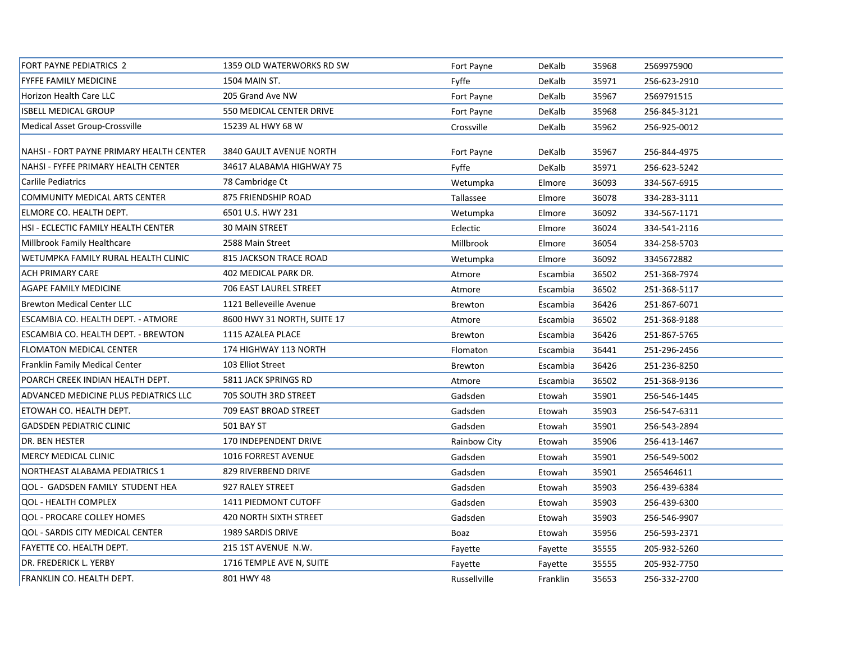| <b>FORT PAYNE PEDIATRICS 2</b>               | 1359 OLD WATERWORKS RD SW     | Fort Payne     | DeKalb   | 35968 | 2569975900   |
|----------------------------------------------|-------------------------------|----------------|----------|-------|--------------|
| <b>FYFFE FAMILY MEDICINE</b>                 | 1504 MAIN ST.                 | Fyffe          | DeKalb   | 35971 | 256-623-2910 |
| <b>Horizon Health Care LLC</b>               | 205 Grand Ave NW              | Fort Payne     | DeKalb   | 35967 | 2569791515   |
| <b>ISBELL MEDICAL GROUP</b>                  | 550 MEDICAL CENTER DRIVE      | Fort Payne     | DeKalb   | 35968 | 256-845-3121 |
| Medical Asset Group-Crossville               | 15239 AL HWY 68 W             | Crossville     | DeKalb   | 35962 | 256-925-0012 |
| NAHSI - FORT PAYNE PRIMARY HEALTH CENTER     | 3840 GAULT AVENUE NORTH       | Fort Payne     | DeKalb   | 35967 | 256-844-4975 |
| NAHSI - FYFFE PRIMARY HEALTH CENTER          | 34617 ALABAMA HIGHWAY 75      | Fyffe          | DeKalb   | 35971 | 256-623-5242 |
| Carlile Pediatrics                           | 78 Cambridge Ct               | Wetumpka       | Elmore   | 36093 | 334-567-6915 |
| COMMUNITY MEDICAL ARTS CENTER                | 875 FRIENDSHIP ROAD           | Tallassee      | Elmore   | 36078 | 334-283-3111 |
| ELMORE CO. HEALTH DEPT.                      | 6501 U.S. HWY 231             | Wetumpka       | Elmore   | 36092 | 334-567-1171 |
| HSI - ECLECTIC FAMILY HEALTH CENTER          | <b>30 MAIN STREET</b>         | Eclectic       | Elmore   | 36024 | 334-541-2116 |
| Millbrook Family Healthcare                  | 2588 Main Street              | Millbrook      | Elmore   | 36054 | 334-258-5703 |
| WETUMPKA FAMILY RURAL HEALTH CLINIC          | 815 JACKSON TRACE ROAD        | Wetumpka       | Elmore   | 36092 | 3345672882   |
| <b>ACH PRIMARY CARE</b>                      | 402 MEDICAL PARK DR.          | Atmore         | Escambia | 36502 | 251-368-7974 |
| <b>AGAPE FAMILY MEDICINE</b>                 | 706 EAST LAUREL STREET        | Atmore         | Escambia | 36502 | 251-368-5117 |
| <b>Brewton Medical Center LLC</b>            | 1121 Belleveille Avenue       | Brewton        | Escambia | 36426 | 251-867-6071 |
| ESCAMBIA CO. HEALTH DEPT. - ATMORE           | 8600 HWY 31 NORTH, SUITE 17   | Atmore         | Escambia | 36502 | 251-368-9188 |
| ESCAMBIA CO. HEALTH DEPT. - BREWTON          | 1115 AZALEA PLACE             | Brewton        | Escambia | 36426 | 251-867-5765 |
| <b>FLOMATON MEDICAL CENTER</b>               | 174 HIGHWAY 113 NORTH         | Flomaton       | Escambia | 36441 | 251-296-2456 |
| <b>Franklin Family Medical Center</b>        | 103 Elliot Street             | <b>Brewton</b> | Escambia | 36426 | 251-236-8250 |
| POARCH CREEK INDIAN HEALTH DEPT.             | 5811 JACK SPRINGS RD          | Atmore         | Escambia | 36502 | 251-368-9136 |
| <b>ADVANCED MEDICINE PLUS PEDIATRICS LLC</b> | 705 SOUTH 3RD STREET          | Gadsden        | Etowah   | 35901 | 256-546-1445 |
| ETOWAH CO. HEALTH DEPT.                      | 709 EAST BROAD STREET         | Gadsden        | Etowah   | 35903 | 256-547-6311 |
| <b>GADSDEN PEDIATRIC CLINIC</b>              | <b>501 BAY ST</b>             | Gadsden        | Etowah   | 35901 | 256-543-2894 |
| <b>DR. BEN HESTER</b>                        | 170 INDEPENDENT DRIVE         | Rainbow City   | Etowah   | 35906 | 256-413-1467 |
| <b>MERCY MEDICAL CLINIC</b>                  | <b>1016 FORREST AVENUE</b>    | Gadsden        | Etowah   | 35901 | 256-549-5002 |
| NORTHEAST ALABAMA PEDIATRICS 1               | 829 RIVERBEND DRIVE           | Gadsden        | Etowah   | 35901 | 2565464611   |
| <b>QOL - GADSDEN FAMILY STUDENT HEA</b>      | 927 RALEY STREET              | Gadsden        | Etowah   | 35903 | 256-439-6384 |
| <b>QOL - HEALTH COMPLEX</b>                  | 1411 PIEDMONT CUTOFF          | Gadsden        | Etowah   | 35903 | 256-439-6300 |
| <b>QOL - PROCARE COLLEY HOMES</b>            | <b>420 NORTH SIXTH STREET</b> | Gadsden        | Etowah   | 35903 | 256-546-9907 |
| <b>QOL - SARDIS CITY MEDICAL CENTER</b>      | 1989 SARDIS DRIVE             | Boaz           | Etowah   | 35956 | 256-593-2371 |
| <b>FAYETTE CO. HEALTH DEPT.</b>              | 215 1ST AVENUE N.W.           | Fayette        | Fayette  | 35555 | 205-932-5260 |
| DR. FREDERICK L. YERBY                       | 1716 TEMPLE AVE N, SUITE      | Fayette        | Fayette  | 35555 | 205-932-7750 |
| FRANKLIN CO. HEALTH DEPT.                    | 801 HWY 48                    | Russellville   | Franklin | 35653 | 256-332-2700 |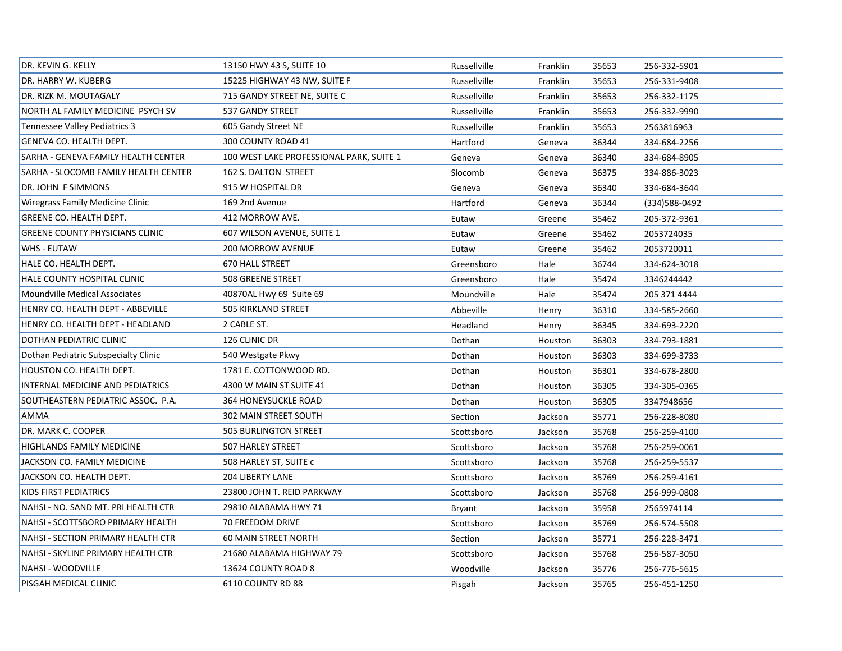| DR. KEVIN G. KELLY                     | 13150 HWY 43 S, SUITE 10                 | Russellville | Franklin | 35653 | 256-332-5901   |  |
|----------------------------------------|------------------------------------------|--------------|----------|-------|----------------|--|
| DR. HARRY W. KUBERG                    | 15225 HIGHWAY 43 NW, SUITE F             | Russellville | Franklin | 35653 | 256-331-9408   |  |
| DR. RIZK M. MOUTAGALY                  | 715 GANDY STREET NE, SUITE C             | Russellville | Franklin | 35653 | 256-332-1175   |  |
| NORTH AL FAMILY MEDICINE PSYCH SV      | 537 GANDY STREET                         | Russellville | Franklin | 35653 | 256-332-9990   |  |
| Tennessee Valley Pediatrics 3          | 605 Gandy Street NE                      | Russellville | Franklin | 35653 | 2563816963     |  |
| GENEVA CO. HEALTH DEPT.                | 300 COUNTY ROAD 41                       | Hartford     | Geneva   | 36344 | 334-684-2256   |  |
| SARHA - GENEVA FAMILY HEALTH CENTER    | 100 WEST LAKE PROFESSIONAL PARK, SUITE 1 | Geneva       | Geneva   | 36340 | 334-684-8905   |  |
| SARHA - SLOCOMB FAMILY HEALTH CENTER   | 162 S. DALTON STREET                     | Slocomb      | Geneva   | 36375 | 334-886-3023   |  |
| DR. JOHN F SIMMONS                     | 915 W HOSPITAL DR                        | Geneva       | Geneva   | 36340 | 334-684-3644   |  |
| Wiregrass Family Medicine Clinic       | 169 2nd Avenue                           | Hartford     | Geneva   | 36344 | (334) 588-0492 |  |
| GREENE CO. HEALTH DEPT.                | 412 MORROW AVE.                          | Eutaw        | Greene   | 35462 | 205-372-9361   |  |
| <b>GREENE COUNTY PHYSICIANS CLINIC</b> | 607 WILSON AVENUE, SUITE 1               | Eutaw        | Greene   | 35462 | 2053724035     |  |
| <b>WHS - EUTAW</b>                     | <b>200 MORROW AVENUE</b>                 | Eutaw        | Greene   | 35462 | 2053720011     |  |
| HALE CO. HEALTH DEPT.                  | <b>670 HALL STREET</b>                   | Greensboro   | Hale     | 36744 | 334-624-3018   |  |
| HALE COUNTY HOSPITAL CLINIC            | <b>508 GREENE STREET</b>                 | Greensboro   | Hale     | 35474 | 3346244442     |  |
| <b>Moundville Medical Associates</b>   | 40870AL Hwy 69 Suite 69                  | Moundville   | Hale     | 35474 | 205 371 4444   |  |
| HENRY CO. HEALTH DEPT - ABBEVILLE      | 505 KIRKLAND STREET                      | Abbeville    | Henry    | 36310 | 334-585-2660   |  |
| HENRY CO. HEALTH DEPT - HEADLAND       | 2 CABLE ST.                              | Headland     | Henry    | 36345 | 334-693-2220   |  |
| DOTHAN PEDIATRIC CLINIC                | 126 CLINIC DR                            | Dothan       | Houston  | 36303 | 334-793-1881   |  |
| Dothan Pediatric Subspecialty Clinic   | 540 Westgate Pkwy                        | Dothan       | Houston  | 36303 | 334-699-3733   |  |
| HOUSTON CO. HEALTH DEPT.               | 1781 E. COTTONWOOD RD.                   | Dothan       | Houston  | 36301 | 334-678-2800   |  |
| INTERNAL MEDICINE AND PEDIATRICS       | 4300 W MAIN ST SUITE 41                  | Dothan       | Houston  | 36305 | 334-305-0365   |  |
| SOUTHEASTERN PEDIATRIC ASSOC. P.A.     | 364 HONEYSUCKLE ROAD                     | Dothan       | Houston  | 36305 | 3347948656     |  |
| <b>AMMA</b>                            | 302 MAIN STREET SOUTH                    | Section      | Jackson  | 35771 | 256-228-8080   |  |
| DR. MARK C. COOPER                     | <b>505 BURLINGTON STREET</b>             | Scottsboro   | Jackson  | 35768 | 256-259-4100   |  |
| HIGHLANDS FAMILY MEDICINE              | 507 HARLEY STREET                        | Scottsboro   | Jackson  | 35768 | 256-259-0061   |  |
| JACKSON CO. FAMILY MEDICINE            | 508 HARLEY ST, SUITE c                   | Scottsboro   | Jackson  | 35768 | 256-259-5537   |  |
| JACKSON CO. HEALTH DEPT.               | 204 LIBERTY LANE                         | Scottsboro   | Jackson  | 35769 | 256-259-4161   |  |
| KIDS FIRST PEDIATRICS                  | 23800 JOHN T. REID PARKWAY               | Scottsboro   | Jackson  | 35768 | 256-999-0808   |  |
| NAHSI - NO. SAND MT. PRI HEALTH CTR    | 29810 ALABAMA HWY 71                     | Bryant       | Jackson  | 35958 | 2565974114     |  |
| NAHSI - SCOTTSBORO PRIMARY HEALTH      | 70 FREEDOM DRIVE                         | Scottsboro   | Jackson  | 35769 | 256-574-5508   |  |
| NAHSI - SECTION PRIMARY HEALTH CTR     | 60 MAIN STREET NORTH                     | Section      | Jackson  | 35771 | 256-228-3471   |  |
| NAHSI - SKYLINE PRIMARY HEALTH CTR     | 21680 ALABAMA HIGHWAY 79                 | Scottsboro   | Jackson  | 35768 | 256-587-3050   |  |
| NAHSI - WOODVILLE                      | 13624 COUNTY ROAD 8                      | Woodville    | Jackson  | 35776 | 256-776-5615   |  |
| PISGAH MEDICAL CLINIC                  | 6110 COUNTY RD 88                        | Pisgah       | Jackson  | 35765 | 256-451-1250   |  |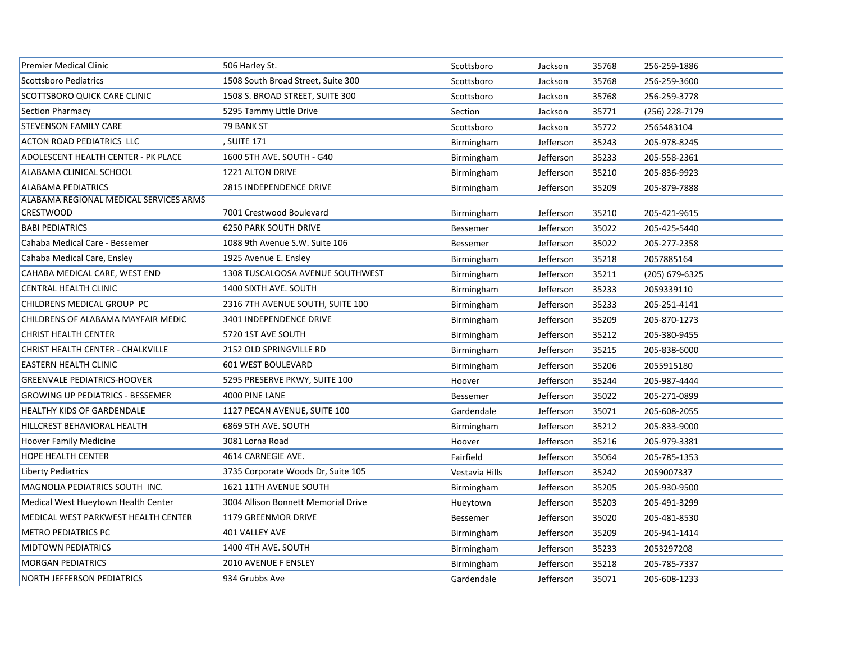| <b>Premier Medical Clinic</b>              | 506 Harley St.                      | Scottsboro      | Jackson   | 35768 | 256-259-1886   |
|--------------------------------------------|-------------------------------------|-----------------|-----------|-------|----------------|
| <b>Scottsboro Pediatrics</b>               | 1508 South Broad Street, Suite 300  | Scottsboro      | Jackson   | 35768 | 256-259-3600   |
| SCOTTSBORO QUICK CARE CLINIC               | 1508 S. BROAD STREET, SUITE 300     | Scottsboro      | Jackson   | 35768 | 256-259-3778   |
| <b>Section Pharmacy</b>                    | 5295 Tammy Little Drive             | Section         | Jackson   | 35771 | (256) 228-7179 |
| <b>STEVENSON FAMILY CARE</b>               | 79 BANK ST                          | Scottsboro      | Jackson   | 35772 | 2565483104     |
| <b>ACTON ROAD PEDIATRICS LLC</b>           | , SUITE 171                         | Birmingham      | Jefferson | 35243 | 205-978-8245   |
| <b>ADOLESCENT HEALTH CENTER - PK PLACE</b> | 1600 5TH AVE. SOUTH - G40           | Birmingham      | Jefferson | 35233 | 205-558-2361   |
| ALABAMA CLINICAL SCHOOL                    | 1221 ALTON DRIVE                    | Birmingham      | Jefferson | 35210 | 205-836-9923   |
| <b>ALABAMA PEDIATRICS</b>                  | 2815 INDEPENDENCE DRIVE             | Birmingham      | Jefferson | 35209 | 205-879-7888   |
| ALABAMA REGIONAL MEDICAL SERVICES ARMS     |                                     |                 |           |       |                |
| <b>CRESTWOOD</b>                           | 7001 Crestwood Boulevard            | Birmingham      | Jefferson | 35210 | 205-421-9615   |
| <b>BABI PEDIATRICS</b>                     | <b>6250 PARK SOUTH DRIVE</b>        | <b>Bessemer</b> | Jefferson | 35022 | 205-425-5440   |
| Cahaba Medical Care - Bessemer             | 1088 9th Avenue S.W. Suite 106      | <b>Bessemer</b> | Jefferson | 35022 | 205-277-2358   |
| Cahaba Medical Care, Ensley                | 1925 Avenue E. Ensley               | Birmingham      | Jefferson | 35218 | 2057885164     |
| CAHABA MEDICAL CARE, WEST END              | 1308 TUSCALOOSA AVENUE SOUTHWEST    | Birmingham      | Jefferson | 35211 | (205) 679-6325 |
| CENTRAL HEALTH CLINIC                      | 1400 SIXTH AVE. SOUTH               | Birmingham      | Jefferson | 35233 | 2059339110     |
| CHILDRENS MEDICAL GROUP PC                 | 2316 7TH AVENUE SOUTH, SUITE 100    | Birmingham      | Jefferson | 35233 | 205-251-4141   |
| CHILDRENS OF ALABAMA MAYFAIR MEDIC         | 3401 INDEPENDENCE DRIVE             | Birmingham      | Jefferson | 35209 | 205-870-1273   |
| CHRIST HEALTH CENTER                       | 5720 1ST AVE SOUTH                  | Birmingham      | Jefferson | 35212 | 205-380-9455   |
| CHRIST HEALTH CENTER - CHALKVILLE          | 2152 OLD SPRINGVILLE RD             | Birmingham      | Jefferson | 35215 | 205-838-6000   |
| <b>EASTERN HEALTH CLINIC</b>               | 601 WEST BOULEVARD                  | Birmingham      | Jefferson | 35206 | 2055915180     |
| <b>GREENVALE PEDIATRICS-HOOVER</b>         | 5295 PRESERVE PKWY, SUITE 100       | Hoover          | Jefferson | 35244 | 205-987-4444   |
| <b>GROWING UP PEDIATRICS - BESSEMER</b>    | 4000 PINE LANE                      | <b>Bessemer</b> | Jefferson | 35022 | 205-271-0899   |
| <b>HEALTHY KIDS OF GARDENDALE</b>          | 1127 PECAN AVENUE, SUITE 100        | Gardendale      | Jefferson | 35071 | 205-608-2055   |
| HILLCREST BEHAVIORAL HEALTH                | 6869 5TH AVE. SOUTH                 | Birmingham      | Jefferson | 35212 | 205-833-9000   |
| <b>Hoover Family Medicine</b>              | 3081 Lorna Road                     | Hoover          | Jefferson | 35216 | 205-979-3381   |
| <b>HOPE HEALTH CENTER</b>                  | 4614 CARNEGIE AVE.                  | Fairfield       | Jefferson | 35064 | 205-785-1353   |
| Liberty Pediatrics                         | 3735 Corporate Woods Dr, Suite 105  | Vestavia Hills  | Jefferson | 35242 | 2059007337     |
| MAGNOLIA PEDIATRICS SOUTH INC.             | 1621 11TH AVENUE SOUTH              | Birmingham      | Jefferson | 35205 | 205-930-9500   |
| Medical West Hueytown Health Center        | 3004 Allison Bonnett Memorial Drive | Hueytown        | Jefferson | 35203 | 205-491-3299   |
| MEDICAL WEST PARKWEST HEALTH CENTER        | 1179 GREENMOR DRIVE                 | <b>Bessemer</b> | Jefferson | 35020 | 205-481-8530   |
| <b>METRO PEDIATRICS PC</b>                 | 401 VALLEY AVE                      | Birmingham      | Jefferson | 35209 | 205-941-1414   |
| <b>MIDTOWN PEDIATRICS</b>                  | 1400 4TH AVE. SOUTH                 | Birmingham      | Jefferson | 35233 | 2053297208     |
| <b>MORGAN PEDIATRICS</b>                   | 2010 AVENUE F ENSLEY                | Birmingham      | Jefferson | 35218 | 205-785-7337   |
| <b>NORTH JEFFERSON PEDIATRICS</b>          | 934 Grubbs Ave                      | Gardendale      | Jefferson | 35071 | 205-608-1233   |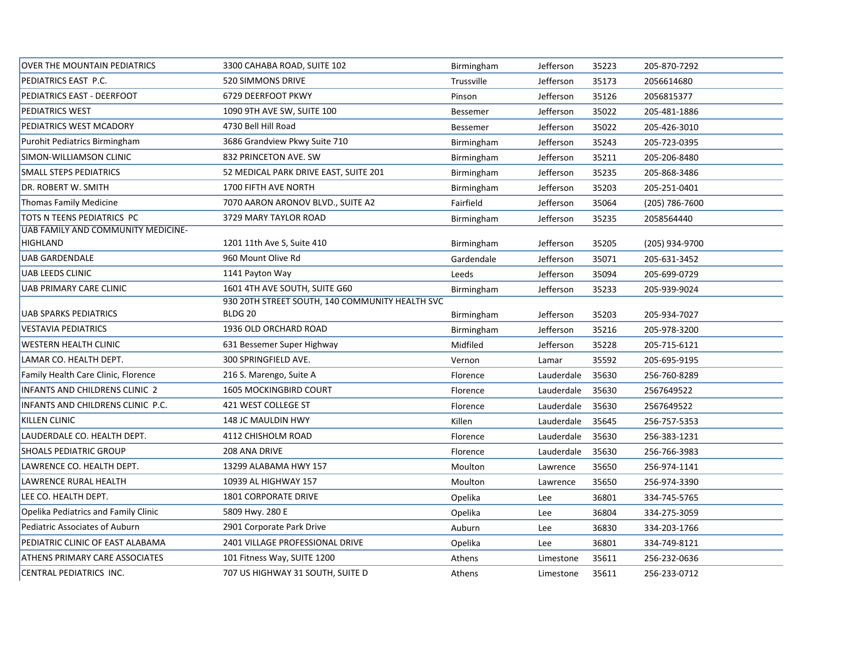| <b>OVER THE MOUNTAIN PEDIATRICS</b>   | 3300 CAHABA ROAD, SUITE 102                     | Birmingham      | Jefferson  | 35223 | 205-870-7292   |
|---------------------------------------|-------------------------------------------------|-----------------|------------|-------|----------------|
| PEDIATRICS EAST P.C.                  | 520 SIMMONS DRIVE                               | Trussville      | Jefferson  | 35173 | 2056614680     |
| PEDIATRICS EAST - DEERFOOT            | 6729 DEERFOOT PKWY                              | Pinson          | Jefferson  | 35126 | 2056815377     |
| <b>PEDIATRICS WEST</b>                | 1090 9TH AVE SW, SUITE 100                      | <b>Bessemer</b> | Jefferson  | 35022 | 205-481-1886   |
| PEDIATRICS WEST MCADORY               | 4730 Bell Hill Road                             | <b>Bessemer</b> | Jefferson  | 35022 | 205-426-3010   |
| Purohit Pediatrics Birmingham         | 3686 Grandview Pkwy Suite 710                   | Birmingham      | Jefferson  | 35243 | 205-723-0395   |
| SIMON-WILLIAMSON CLINIC               | 832 PRINCETON AVE. SW                           | Birmingham      | Jefferson  | 35211 | 205-206-8480   |
| <b>SMALL STEPS PEDIATRICS</b>         | 52 MEDICAL PARK DRIVE EAST, SUITE 201           | Birmingham      | Jefferson  | 35235 | 205-868-3486   |
| <b>DR. ROBERT W. SMITH</b>            | 1700 FIFTH AVE NORTH                            | Birmingham      | Jefferson  | 35203 | 205-251-0401   |
| Thomas Family Medicine                | 7070 AARON ARONOV BLVD., SUITE A2               | Fairfield       | Jefferson  | 35064 | (205) 786-7600 |
| TOTS N TEENS PEDIATRICS PC            | 3729 MARY TAYLOR ROAD                           | Birmingham      | Jefferson  | 35235 | 2058564440     |
| UAB FAMILY AND COMMUNITY MEDICINE-    |                                                 |                 |            |       |                |
| <b>HIGHLAND</b>                       | 1201 11th Ave S, Suite 410                      | Birmingham      | Jefferson  | 35205 | (205) 934-9700 |
| <b>UAB GARDENDALE</b>                 | 960 Mount Olive Rd                              | Gardendale      | Jefferson  | 35071 | 205-631-3452   |
| <b>UAB LEEDS CLINIC</b>               | 1141 Payton Way                                 | Leeds           | Jefferson  | 35094 | 205-699-0729   |
| UAB PRIMARY CARE CLINIC               | 1601 4TH AVE SOUTH, SUITE G60                   | Birmingham      | Jefferson  | 35233 | 205-939-9024   |
|                                       | 930 20TH STREET SOUTH, 140 COMMUNITY HEALTH SVC |                 |            |       |                |
| <b>UAB SPARKS PEDIATRICS</b>          | BLDG <sub>20</sub>                              | Birmingham      | Jefferson  | 35203 | 205-934-7027   |
| <b>VESTAVIA PEDIATRICS</b>            | 1936 OLD ORCHARD ROAD                           | Birmingham      | Jefferson  | 35216 | 205-978-3200   |
| <b>WESTERN HEALTH CLINIC</b>          | 631 Bessemer Super Highway                      | Midfiled        | Jefferson  | 35228 | 205-715-6121   |
| LAMAR CO. HEALTH DEPT.                | 300 SPRINGFIELD AVE.                            | Vernon          | Lamar      | 35592 | 205-695-9195   |
| Family Health Care Clinic, Florence   | 216 S. Marengo, Suite A                         | Florence        | Lauderdale | 35630 | 256-760-8289   |
| <b>INFANTS AND CHILDRENS CLINIC 2</b> | <b>1605 MOCKINGBIRD COURT</b>                   | Florence        | Lauderdale | 35630 | 2567649522     |
| INFANTS AND CHILDRENS CLINIC P.C.     | 421 WEST COLLEGE ST                             | Florence        | Lauderdale | 35630 | 2567649522     |
| <b>KILLEN CLINIC</b>                  | 148 JC MAULDIN HWY                              | Killen          | Lauderdale | 35645 | 256-757-5353   |
| LAUDERDALE CO. HEALTH DEPT.           | 4112 CHISHOLM ROAD                              | Florence        | Lauderdale | 35630 | 256-383-1231   |
| <b>SHOALS PEDIATRIC GROUP</b>         | 208 ANA DRIVE                                   | Florence        | Lauderdale | 35630 | 256-766-3983   |
| LAWRENCE CO. HEALTH DEPT.             | 13299 ALABAMA HWY 157                           | Moulton         | Lawrence   | 35650 | 256-974-1141   |
| LAWRENCE RURAL HEALTH                 | 10939 AL HIGHWAY 157                            | Moulton         | Lawrence   | 35650 | 256-974-3390   |
| LEE CO. HEALTH DEPT.                  | <b>1801 CORPORATE DRIVE</b>                     | Opelika         | Lee        | 36801 | 334-745-5765   |
| Opelika Pediatrics and Family Clinic  | 5809 Hwy. 280 E                                 | Opelika         | Lee        | 36804 | 334-275-3059   |
| Pediatric Associates of Auburn        | 2901 Corporate Park Drive                       | Auburn          | Lee        | 36830 | 334-203-1766   |
| PEDIATRIC CLINIC OF EAST ALABAMA      | 2401 VILLAGE PROFESSIONAL DRIVE                 | Opelika         | Lee        | 36801 | 334-749-8121   |
| <b>ATHENS PRIMARY CARE ASSOCIATES</b> | 101 Fitness Way, SUITE 1200                     | Athens          | Limestone  | 35611 | 256-232-0636   |
| CENTRAL PEDIATRICS INC.               | 707 US HIGHWAY 31 SOUTH, SUITE D                | Athens          | Limestone  | 35611 | 256-233-0712   |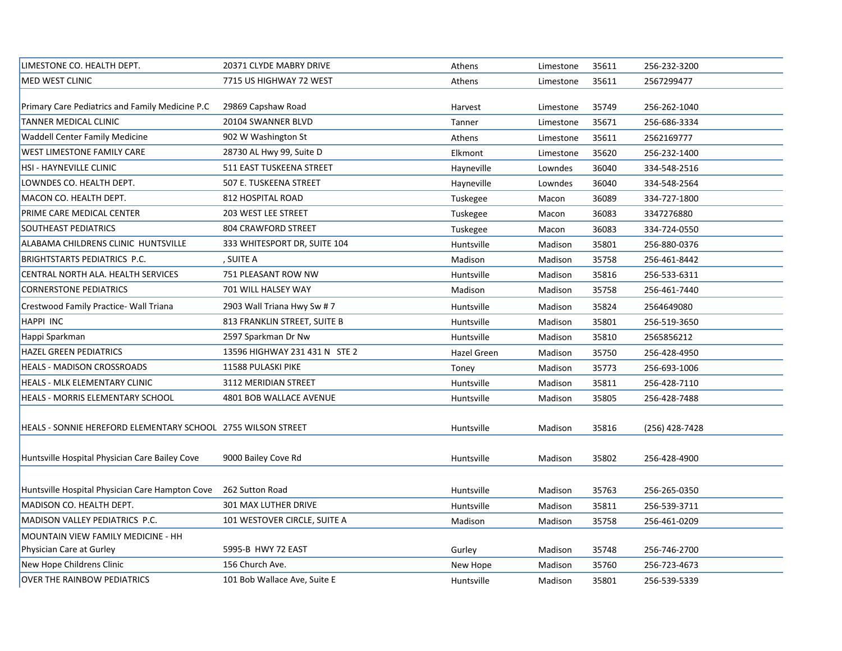| LIMESTONE CO. HEALTH DEPT.                                   | 20371 CLYDE MABRY DRIVE       | Athens      | Limestone | 35611 | 256-232-3200   |
|--------------------------------------------------------------|-------------------------------|-------------|-----------|-------|----------------|
| <b>MED WEST CLINIC</b>                                       | 7715 US HIGHWAY 72 WEST       | Athens      | Limestone | 35611 | 2567299477     |
|                                                              |                               |             |           |       |                |
| Primary Care Pediatrics and Family Medicine P.C.             | 29869 Capshaw Road            | Harvest     | Limestone | 35749 | 256-262-1040   |
| TANNER MEDICAL CLINIC                                        | 20104 SWANNER BLVD            | Tanner      | Limestone | 35671 | 256-686-3334   |
| <b>Waddell Center Family Medicine</b>                        | 902 W Washington St           | Athens      | Limestone | 35611 | 2562169777     |
| WEST LIMESTONE FAMILY CARE                                   | 28730 AL Hwy 99, Suite D      | Elkmont     | Limestone | 35620 | 256-232-1400   |
| HSI - HAYNEVILLE CLINIC                                      | 511 EAST TUSKEENA STREET      | Hayneville  | Lowndes   | 36040 | 334-548-2516   |
| LOWNDES CO. HEALTH DEPT.                                     | 507 E. TUSKEENA STREET        | Hayneville  | Lowndes   | 36040 | 334-548-2564   |
| MACON CO. HEALTH DEPT.                                       | 812 HOSPITAL ROAD             | Tuskegee    | Macon     | 36089 | 334-727-1800   |
| PRIME CARE MEDICAL CENTER                                    | 203 WEST LEE STREET           | Tuskegee    | Macon     | 36083 | 3347276880     |
| SOUTHEAST PEDIATRICS                                         | 804 CRAWFORD STREET           | Tuskegee    | Macon     | 36083 | 334-724-0550   |
| ALABAMA CHILDRENS CLINIC HUNTSVILLE                          | 333 WHITESPORT DR, SUITE 104  | Huntsville  | Madison   | 35801 | 256-880-0376   |
| BRIGHTSTARTS PEDIATRICS P.C.                                 | , SUITE A                     | Madison     | Madison   | 35758 | 256-461-8442   |
| CENTRAL NORTH ALA. HEALTH SERVICES                           | 751 PLEASANT ROW NW           | Huntsville  | Madison   | 35816 | 256-533-6311   |
| <b>CORNERSTONE PEDIATRICS</b>                                | 701 WILL HALSEY WAY           | Madison     | Madison   | 35758 | 256-461-7440   |
| Crestwood Family Practice- Wall Triana                       | 2903 Wall Triana Hwy Sw # 7   | Huntsville  | Madison   | 35824 | 2564649080     |
| HAPPI INC                                                    | 813 FRANKLIN STREET, SUITE B  | Huntsville  | Madison   | 35801 | 256-519-3650   |
| Happi Sparkman                                               | 2597 Sparkman Dr Nw           | Huntsville  | Madison   | 35810 | 2565856212     |
| <b>HAZEL GREEN PEDIATRICS</b>                                | 13596 HIGHWAY 231 431 N STE 2 | Hazel Green | Madison   | 35750 | 256-428-4950   |
| HEALS - MADISON CROSSROADS                                   | 11588 PULASKI PIKE            | Toney       | Madison   | 35773 | 256-693-1006   |
| HEALS - MLK ELEMENTARY CLINIC                                | 3112 MERIDIAN STREET          | Huntsville  | Madison   | 35811 | 256-428-7110   |
| HEALS - MORRIS ELEMENTARY SCHOOL                             | 4801 BOB WALLACE AVENUE       | Huntsville  | Madison   | 35805 | 256-428-7488   |
|                                                              |                               |             |           |       |                |
| HEALS - SONNIE HEREFORD ELEMENTARY SCHOOL 2755 WILSON STREET |                               | Huntsville  | Madison   | 35816 | (256) 428-7428 |
|                                                              |                               |             |           |       |                |
| Huntsville Hospital Physician Care Bailey Cove               | 9000 Bailey Cove Rd           | Huntsville  | Madison   | 35802 | 256-428-4900   |
|                                                              |                               |             |           |       |                |
| Huntsville Hospital Physician Care Hampton Cove              | 262 Sutton Road               | Huntsville  | Madison   | 35763 | 256-265-0350   |
| MADISON CO. HEALTH DEPT.                                     | 301 MAX LUTHER DRIVE          | Huntsville  | Madison   | 35811 | 256-539-3711   |
| MADISON VALLEY PEDIATRICS P.C.                               | 101 WESTOVER CIRCLE, SUITE A  | Madison     | Madison   | 35758 | 256-461-0209   |
| MOUNTAIN VIEW FAMILY MEDICINE - HH                           |                               |             |           |       |                |
| Physician Care at Gurley                                     | 5995-B HWY 72 EAST            | Gurley      | Madison   | 35748 | 256-746-2700   |
| New Hope Childrens Clinic                                    | 156 Church Ave.               | New Hope    | Madison   | 35760 | 256-723-4673   |
| <b>OVER THE RAINBOW PEDIATRICS</b>                           | 101 Bob Wallace Ave, Suite E  | Huntsville  | Madison   | 35801 | 256-539-5339   |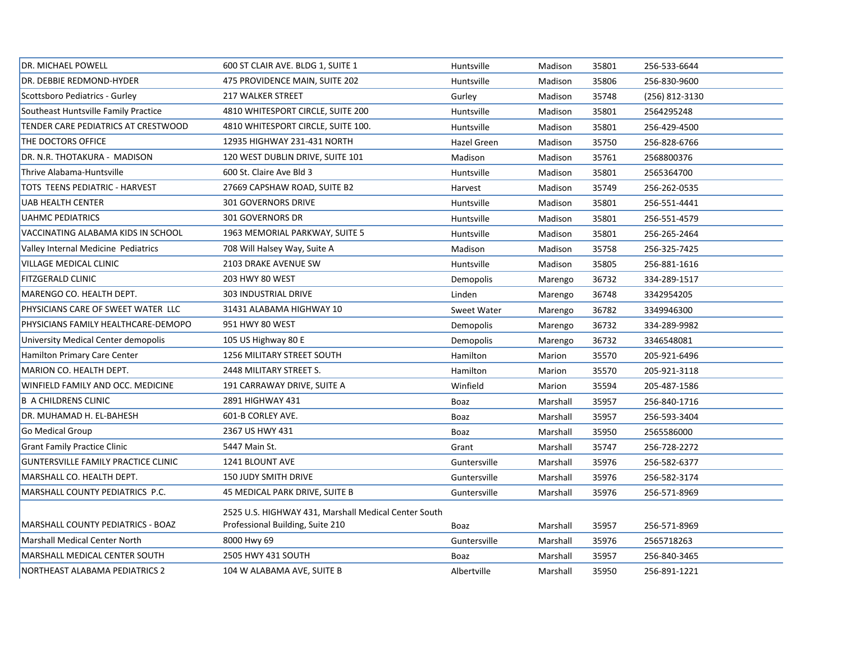| <b>DR. MICHAEL POWELL</b>                  | 600 ST CLAIR AVE. BLDG 1, SUITE 1                    | Huntsville         | Madison  | 35801 | 256-533-6644   |
|--------------------------------------------|------------------------------------------------------|--------------------|----------|-------|----------------|
| DR. DEBBIE REDMOND-HYDER                   | 475 PROVIDENCE MAIN, SUITE 202                       | Huntsville         | Madison  | 35806 | 256-830-9600   |
| Scottsboro Pediatrics - Gurley             | <b>217 WALKER STREET</b>                             | Gurley             | Madison  | 35748 | (256) 812-3130 |
| Southeast Huntsville Family Practice       | 4810 WHITESPORT CIRCLE, SUITE 200                    | Huntsville         | Madison  | 35801 | 2564295248     |
| TENDER CARE PEDIATRICS AT CRESTWOOD        | 4810 WHITESPORT CIRCLE, SUITE 100.                   | Huntsville         | Madison  | 35801 | 256-429-4500   |
| THE DOCTORS OFFICE                         | 12935 HIGHWAY 231-431 NORTH                          | <b>Hazel Green</b> | Madison  | 35750 | 256-828-6766   |
| DR. N.R. THOTAKURA - MADISON               | 120 WEST DUBLIN DRIVE, SUITE 101                     | Madison            | Madison  | 35761 | 2568800376     |
| Thrive Alabama-Huntsville                  | 600 St. Claire Ave Bld 3                             | Huntsville         | Madison  | 35801 | 2565364700     |
| TOTS TEENS PEDIATRIC - HARVEST             | 27669 CAPSHAW ROAD, SUITE B2                         | Harvest            | Madison  | 35749 | 256-262-0535   |
| UAB HEALTH CENTER                          | 301 GOVERNORS DRIVE                                  | Huntsville         | Madison  | 35801 | 256-551-4441   |
| <b>UAHMC PEDIATRICS</b>                    | 301 GOVERNORS DR                                     | Huntsville         | Madison  | 35801 | 256-551-4579   |
| VACCINATING ALABAMA KIDS IN SCHOOL         | 1963 MEMORIAL PARKWAY, SUITE 5                       | Huntsville         | Madison  | 35801 | 256-265-2464   |
| Valley Internal Medicine Pediatrics        | 708 Will Halsey Way, Suite A                         | Madison            | Madison  | 35758 | 256-325-7425   |
| <b>VILLAGE MEDICAL CLINIC</b>              | 2103 DRAKE AVENUE SW                                 | Huntsville         | Madison  | 35805 | 256-881-1616   |
| <b>FITZGERALD CLINIC</b>                   | 203 HWY 80 WEST                                      | Demopolis          | Marengo  | 36732 | 334-289-1517   |
| MARENGO CO. HEALTH DEPT.                   | 303 INDUSTRIAL DRIVE                                 | Linden             | Marengo  | 36748 | 3342954205     |
| PHYSICIANS CARE OF SWEET WATER LLC         | 31431 ALABAMA HIGHWAY 10                             | <b>Sweet Water</b> | Marengo  | 36782 | 3349946300     |
| PHYSICIANS FAMILY HEALTHCARE-DEMOPO        | 951 HWY 80 WEST                                      | Demopolis          | Marengo  | 36732 | 334-289-9982   |
| University Medical Center demopolis        | 105 US Highway 80 E                                  | Demopolis          | Marengo  | 36732 | 3346548081     |
| <b>Hamilton Primary Care Center</b>        | <b>1256 MILITARY STREET SOUTH</b>                    | Hamilton           | Marion   | 35570 | 205-921-6496   |
| MARION CO. HEALTH DEPT.                    | 2448 MILITARY STREET S.                              | Hamilton           | Marion   | 35570 | 205-921-3118   |
| WINFIELD FAMILY AND OCC. MEDICINE          | 191 CARRAWAY DRIVE, SUITE A                          | Winfield           | Marion   | 35594 | 205-487-1586   |
| <b>B A CHILDRENS CLINIC</b>                | 2891 HIGHWAY 431                                     | Boaz               | Marshall | 35957 | 256-840-1716   |
| DR. MUHAMAD H. EL-BAHESH                   | 601-B CORLEY AVE.                                    | Boaz               | Marshall | 35957 | 256-593-3404   |
| <b>Go Medical Group</b>                    | 2367 US HWY 431                                      | Boaz               | Marshall | 35950 | 2565586000     |
| <b>Grant Family Practice Clinic</b>        | 5447 Main St.                                        | Grant              | Marshall | 35747 | 256-728-2272   |
| <b>GUNTERSVILLE FAMILY PRACTICE CLINIC</b> | 1241 BLOUNT AVE                                      | Guntersville       | Marshall | 35976 | 256-582-6377   |
| MARSHALL CO. HEALTH DEPT.                  | <b>150 JUDY SMITH DRIVE</b>                          | Guntersville       | Marshall | 35976 | 256-582-3174   |
| MARSHALL COUNTY PEDIATRICS P.C.            | 45 MEDICAL PARK DRIVE, SUITE B                       | Guntersville       | Marshall | 35976 | 256-571-8969   |
|                                            | 2525 U.S. HIGHWAY 431, Marshall Medical Center South |                    |          |       |                |
| MARSHALL COUNTY PEDIATRICS - BOAZ          | Professional Building, Suite 210                     | Boaz               | Marshall | 35957 | 256-571-8969   |
| Marshall Medical Center North              | 8000 Hwy 69                                          | Guntersville       | Marshall | 35976 | 2565718263     |
| MARSHALL MEDICAL CENTER SOUTH              | 2505 HWY 431 SOUTH                                   | Boaz               | Marshall | 35957 | 256-840-3465   |
| <b>NORTHEAST ALABAMA PEDIATRICS 2</b>      | 104 W ALABAMA AVE, SUITE B                           | Albertville        | Marshall | 35950 | 256-891-1221   |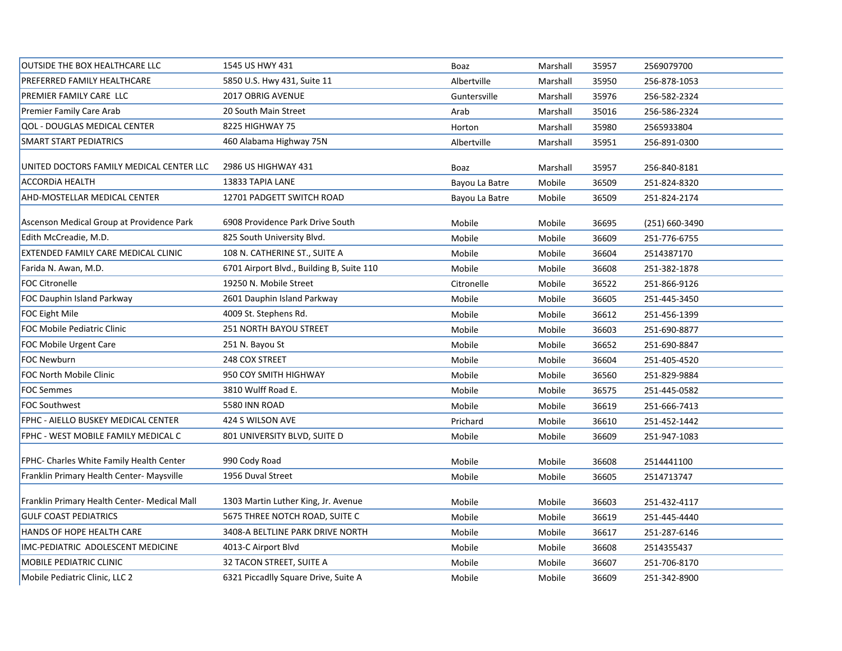| OUTSIDE THE BOX HEALTHCARE LLC               | 1545 US HWY 431                           | Boaz           | Marshall | 35957 | 2569079700     |
|----------------------------------------------|-------------------------------------------|----------------|----------|-------|----------------|
| PREFERRED FAMILY HEALTHCARE                  | 5850 U.S. Hwy 431, Suite 11               | Albertville    | Marshall | 35950 | 256-878-1053   |
| PREMIER FAMILY CARE LLC                      | 2017 OBRIG AVENUE                         | Guntersville   | Marshall | 35976 | 256-582-2324   |
| Premier Family Care Arab                     | 20 South Main Street                      | Arab           | Marshall | 35016 | 256-586-2324   |
| <b>QOL - DOUGLAS MEDICAL CENTER</b>          | 8225 HIGHWAY 75                           | Horton         | Marshall | 35980 | 2565933804     |
| <b>SMART START PEDIATRICS</b>                | 460 Alabama Highway 75N                   | Albertville    | Marshall | 35951 | 256-891-0300   |
| UNITED DOCTORS FAMILY MEDICAL CENTER LLC     | 2986 US HIGHWAY 431                       | Boaz           | Marshall | 35957 | 256-840-8181   |
| <b>ACCORDIA HEALTH</b>                       | 13833 TAPIA LANE                          | Bayou La Batre | Mobile   | 36509 | 251-824-8320   |
| AHD-MOSTELLAR MEDICAL CENTER                 | 12701 PADGETT SWITCH ROAD                 | Bayou La Batre | Mobile   | 36509 | 251-824-2174   |
| Ascenson Medical Group at Providence Park    | 6908 Providence Park Drive South          | Mobile         | Mobile   | 36695 | (251) 660-3490 |
| Edith McCreadie, M.D.                        | 825 South University Blvd.                | Mobile         | Mobile   | 36609 | 251-776-6755   |
| EXTENDED FAMILY CARE MEDICAL CLINIC          | 108 N. CATHERINE ST., SUITE A             | Mobile         | Mobile   | 36604 | 2514387170     |
| Farida N. Awan, M.D.                         | 6701 Airport Blvd., Building B, Suite 110 | Mobile         | Mobile   | 36608 | 251-382-1878   |
| <b>FOC Citronelle</b>                        | 19250 N. Mobile Street                    | Citronelle     | Mobile   | 36522 | 251-866-9126   |
| FOC Dauphin Island Parkway                   | 2601 Dauphin Island Parkway               | Mobile         | Mobile   | 36605 | 251-445-3450   |
| FOC Eight Mile                               | 4009 St. Stephens Rd.                     | Mobile         | Mobile   | 36612 | 251-456-1399   |
| FOC Mobile Pediatric Clinic                  | 251 NORTH BAYOU STREET                    | Mobile         | Mobile   | 36603 | 251-690-8877   |
| <b>FOC Mobile Urgent Care</b>                | 251 N. Bayou St                           | Mobile         | Mobile   | 36652 | 251-690-8847   |
| FOC Newburn                                  | 248 COX STREET                            | Mobile         | Mobile   | 36604 | 251-405-4520   |
| FOC North Mobile Clinic                      | 950 COY SMITH HIGHWAY                     | Mobile         | Mobile   | 36560 | 251-829-9884   |
| <b>FOC Semmes</b>                            | 3810 Wulff Road E.                        | Mobile         | Mobile   | 36575 | 251-445-0582   |
| <b>FOC Southwest</b>                         | 5580 INN ROAD                             | Mobile         | Mobile   | 36619 | 251-666-7413   |
| FPHC - AIELLO BUSKEY MEDICAL CENTER          | 424 S WILSON AVE                          | Prichard       | Mobile   | 36610 | 251-452-1442   |
| FPHC - WEST MOBILE FAMILY MEDICAL C          | 801 UNIVERSITY BLVD, SUITE D              | Mobile         | Mobile   | 36609 | 251-947-1083   |
| FPHC- Charles White Family Health Center     | 990 Cody Road                             | Mobile         | Mobile   | 36608 | 2514441100     |
| Franklin Primary Health Center- Maysville    | 1956 Duval Street                         | Mobile         | Mobile   | 36605 | 2514713747     |
| Franklin Primary Health Center- Medical Mall | 1303 Martin Luther King, Jr. Avenue       | Mobile         | Mobile   | 36603 | 251-432-4117   |
| <b>GULF COAST PEDIATRICS</b>                 | 5675 THREE NOTCH ROAD, SUITE C            | Mobile         | Mobile   | 36619 | 251-445-4440   |
| HANDS OF HOPE HEALTH CARE                    | 3408-A BELTLINE PARK DRIVE NORTH          | Mobile         | Mobile   | 36617 | 251-287-6146   |
| IMC-PEDIATRIC ADOLESCENT MEDICINE            | 4013-C Airport Blvd                       | Mobile         | Mobile   | 36608 | 2514355437     |
| <b>MOBILE PEDIATRIC CLINIC</b>               | 32 TACON STREET, SUITE A                  | Mobile         | Mobile   | 36607 | 251-706-8170   |
| Mobile Pediatric Clinic, LLC 2               | 6321 Piccadlly Square Drive, Suite A      | Mobile         | Mobile   | 36609 | 251-342-8900   |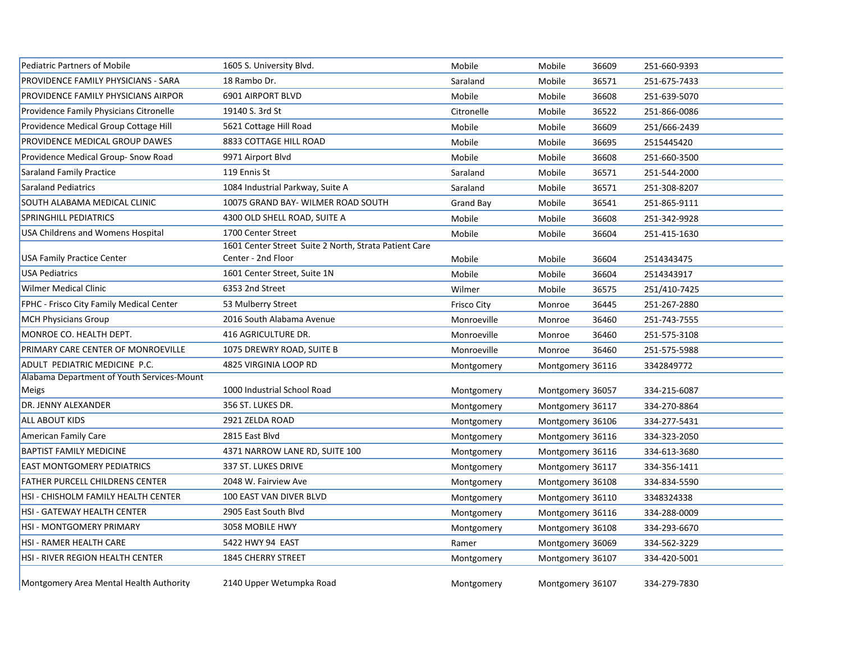| <b>Pediatric Partners of Mobile</b>        | 1605 S. University Blvd.                              | Mobile             | Mobile           | 36609 | 251-660-9393 |
|--------------------------------------------|-------------------------------------------------------|--------------------|------------------|-------|--------------|
| <b>PROVIDENCE FAMILY PHYSICIANS - SARA</b> | 18 Rambo Dr.                                          | Saraland           | Mobile           | 36571 | 251-675-7433 |
| <b>PROVIDENCE FAMILY PHYSICIANS AIRPOR</b> | 6901 AIRPORT BLVD                                     | Mobile             | Mobile           | 36608 | 251-639-5070 |
| Providence Family Physicians Citronelle    | 19140 S. 3rd St                                       | Citronelle         | Mobile           | 36522 | 251-866-0086 |
| Providence Medical Group Cottage Hill      | 5621 Cottage Hill Road                                | Mobile             | Mobile           | 36609 | 251/666-2439 |
| PROVIDENCE MEDICAL GROUP DAWES             | 8833 COTTAGE HILL ROAD                                | Mobile             | Mobile           | 36695 | 2515445420   |
| Providence Medical Group- Snow Road        | 9971 Airport Blvd                                     | Mobile             | Mobile           | 36608 | 251-660-3500 |
| Saraland Family Practice                   | 119 Ennis St                                          | Saraland           | Mobile           | 36571 | 251-544-2000 |
| Saraland Pediatrics                        | 1084 Industrial Parkway, Suite A                      | Saraland           | Mobile           | 36571 | 251-308-8207 |
| SOUTH ALABAMA MEDICAL CLINIC               | 10075 GRAND BAY- WILMER ROAD SOUTH                    | <b>Grand Bay</b>   | Mobile           | 36541 | 251-865-9111 |
| SPRINGHILL PEDIATRICS                      | 4300 OLD SHELL ROAD, SUITE A                          | Mobile             | Mobile           | 36608 | 251-342-9928 |
| <b>USA Childrens and Womens Hospital</b>   | 1700 Center Street                                    | Mobile             | Mobile           | 36604 | 251-415-1630 |
|                                            | 1601 Center Street Suite 2 North, Strata Patient Care |                    |                  |       |              |
| <b>USA Family Practice Center</b>          | Center - 2nd Floor                                    | Mobile             | Mobile           | 36604 | 2514343475   |
| <b>USA Pediatrics</b>                      | 1601 Center Street, Suite 1N                          | Mobile             | Mobile           | 36604 | 2514343917   |
| <b>Wilmer Medical Clinic</b>               | 6353 2nd Street                                       | Wilmer             | Mobile           | 36575 | 251/410-7425 |
| FPHC - Frisco City Family Medical Center   | 53 Mulberry Street                                    | <b>Frisco City</b> | Monroe           | 36445 | 251-267-2880 |
| <b>MCH Physicians Group</b>                | 2016 South Alabama Avenue                             | Monroeville        | Monroe           | 36460 | 251-743-7555 |
| MONROE CO. HEALTH DEPT.                    | 416 AGRICULTURE DR.                                   | Monroeville        | Monroe           | 36460 | 251-575-3108 |
| PRIMARY CARE CENTER OF MONROEVILLE         | 1075 DREWRY ROAD, SUITE B                             | Monroeville        | Monroe           | 36460 | 251-575-5988 |
| ADULT PEDIATRIC MEDICINE P.C.              | 4825 VIRGINIA LOOP RD                                 | Montgomery         | Montgomery 36116 |       | 3342849772   |
| Alabama Department of Youth Services-Mount |                                                       |                    |                  |       |              |
| Meigs                                      | 1000 Industrial School Road                           | Montgomery         | Montgomery 36057 |       | 334-215-6087 |
| DR. JENNY ALEXANDER                        | 356 ST. LUKES DR.                                     | Montgomery         | Montgomery 36117 |       | 334-270-8864 |
| <b>ALL ABOUT KIDS</b>                      | 2921 ZELDA ROAD                                       | Montgomery         | Montgomery 36106 |       | 334-277-5431 |
| American Family Care                       | 2815 East Blvd                                        | Montgomery         | Montgomery 36116 |       | 334-323-2050 |
| <b>BAPTIST FAMILY MEDICINE</b>             | 4371 NARROW LANE RD, SUITE 100                        | Montgomery         | Montgomery 36116 |       | 334-613-3680 |
| <b>EAST MONTGOMERY PEDIATRICS</b>          | 337 ST. LUKES DRIVE                                   | Montgomery         | Montgomery 36117 |       | 334-356-1411 |
| <b>FATHER PURCELL CHILDRENS CENTER</b>     | 2048 W. Fairview Ave                                  | Montgomery         | Montgomery 36108 |       | 334-834-5590 |
| HSI - CHISHOLM FAMILY HEALTH CENTER        | 100 EAST VAN DIVER BLVD                               | Montgomery         | Montgomery 36110 |       | 3348324338   |
| <b>HSI - GATEWAY HEALTH CENTER</b>         | 2905 East South Blvd                                  | Montgomery         | Montgomery 36116 |       | 334-288-0009 |
| <b>HSI - MONTGOMERY PRIMARY</b>            | 3058 MOBILE HWY                                       | Montgomery         | Montgomery 36108 |       | 334-293-6670 |
| <b>HSI - RAMER HEALTH CARE</b>             | 5422 HWY 94 EAST                                      | Ramer              | Montgomery 36069 |       | 334-562-3229 |
| <b>HSI - RIVER REGION HEALTH CENTER</b>    | <b>1845 CHERRY STREET</b>                             | Montgomery         | Montgomery 36107 |       | 334-420-5001 |
|                                            |                                                       |                    |                  |       |              |

Montgomery Area Mental Health Authority 2140 Upper Wetumpka Road Montgomery Montgomery Montgomery 36107 334-279-7830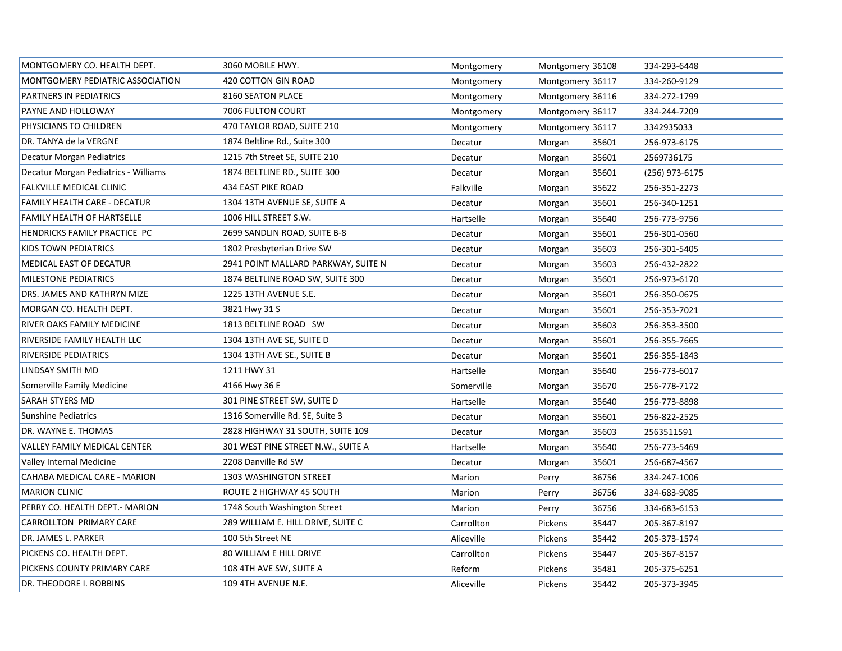| MONTGOMERY CO. HEALTH DEPT.          | 3060 MOBILE HWY.                    | Montgomery | Montgomery 36108 | 334-293-6448   |
|--------------------------------------|-------------------------------------|------------|------------------|----------------|
| MONTGOMERY PEDIATRIC ASSOCIATION     | 420 COTTON GIN ROAD                 | Montgomery | Montgomery 36117 | 334-260-9129   |
| PARTNERS IN PEDIATRICS               | 8160 SEATON PLACE                   | Montgomery | Montgomery 36116 | 334-272-1799   |
| PAYNE AND HOLLOWAY                   | 7006 FULTON COURT                   | Montgomery | Montgomery 36117 | 334-244-7209   |
| PHYSICIANS TO CHILDREN               | 470 TAYLOR ROAD, SUITE 210          | Montgomery | Montgomery 36117 | 3342935033     |
| DR. TANYA de la VERGNE               | 1874 Beltline Rd., Suite 300        | Decatur    | 35601<br>Morgan  | 256-973-6175   |
| Decatur Morgan Pediatrics            | 1215 7th Street SE, SUITE 210       | Decatur    | 35601<br>Morgan  | 2569736175     |
| Decatur Morgan Pediatrics - Williams | 1874 BELTLINE RD., SUITE 300        | Decatur    | 35601<br>Morgan  | (256) 973-6175 |
| FALKVILLE MEDICAL CLINIC             | <b>434 EAST PIKE ROAD</b>           | Falkville  | 35622<br>Morgan  | 256-351-2273   |
| FAMILY HEALTH CARE - DECATUR         | 1304 13TH AVENUE SE, SUITE A        | Decatur    | 35601<br>Morgan  | 256-340-1251   |
| FAMILY HEALTH OF HARTSELLE           | 1006 HILL STREET S.W.               | Hartselle  | 35640<br>Morgan  | 256-773-9756   |
| HENDRICKS FAMILY PRACTICE PC         | 2699 SANDLIN ROAD, SUITE B-8        | Decatur    | 35601<br>Morgan  | 256-301-0560   |
| <b>KIDS TOWN PEDIATRICS</b>          | 1802 Presbyterian Drive SW          | Decatur    | 35603<br>Morgan  | 256-301-5405   |
| MEDICAL EAST OF DECATUR              | 2941 POINT MALLARD PARKWAY, SUITE N | Decatur    | 35603<br>Morgan  | 256-432-2822   |
| MILESTONE PEDIATRICS                 | 1874 BELTLINE ROAD SW, SUITE 300    | Decatur    | 35601<br>Morgan  | 256-973-6170   |
| DRS. JAMES AND KATHRYN MIZE          | 1225 13TH AVENUE S.E.               | Decatur    | 35601<br>Morgan  | 256-350-0675   |
| MORGAN CO. HEALTH DEPT.              | 3821 Hwy 31 S                       | Decatur    | 35601<br>Morgan  | 256-353-7021   |
| RIVER OAKS FAMILY MEDICINE           | 1813 BELTLINE ROAD SW               | Decatur    | 35603<br>Morgan  | 256-353-3500   |
| RIVERSIDE FAMILY HEALTH LLC          | 1304 13TH AVE SE, SUITE D           | Decatur    | 35601<br>Morgan  | 256-355-7665   |
| RIVERSIDE PEDIATRICS                 | 1304 13TH AVE SE., SUITE B          | Decatur    | 35601<br>Morgan  | 256-355-1843   |
| LINDSAY SMITH MD                     | 1211 HWY 31                         | Hartselle  | 35640<br>Morgan  | 256-773-6017   |
| Somerville Family Medicine           | 4166 Hwy 36 E                       | Somerville | 35670<br>Morgan  | 256-778-7172   |
| SARAH STYERS MD                      | 301 PINE STREET SW, SUITE D         | Hartselle  | 35640<br>Morgan  | 256-773-8898   |
| <b>Sunshine Pediatrics</b>           | 1316 Somerville Rd. SE, Suite 3     | Decatur    | 35601<br>Morgan  | 256-822-2525   |
| DR. WAYNE E. THOMAS                  | 2828 HIGHWAY 31 SOUTH, SUITE 109    | Decatur    | 35603<br>Morgan  | 2563511591     |
| <b>VALLEY FAMILY MEDICAL CENTER</b>  | 301 WEST PINE STREET N.W., SUITE A  | Hartselle  | 35640<br>Morgan  | 256-773-5469   |
| Valley Internal Medicine             | 2208 Danville Rd SW                 | Decatur    | 35601<br>Morgan  | 256-687-4567   |
| CAHABA MEDICAL CARE - MARION         | 1303 WASHINGTON STREET              | Marion     | 36756<br>Perry   | 334-247-1006   |
| <b>MARION CLINIC</b>                 | ROUTE 2 HIGHWAY 45 SOUTH            | Marion     | 36756<br>Perry   | 334-683-9085   |
| PERRY CO. HEALTH DEPT.- MARION       | 1748 South Washington Street        | Marion     | 36756<br>Perry   | 334-683-6153   |
| CARROLLTON PRIMARY CARE              | 289 WILLIAM E. HILL DRIVE, SUITE C  | Carrollton | 35447<br>Pickens | 205-367-8197   |
| DR. JAMES L. PARKER                  | 100 5th Street NE                   | Aliceville | Pickens<br>35442 | 205-373-1574   |
| PICKENS CO. HEALTH DEPT.             | 80 WILLIAM E HILL DRIVE             | Carrollton | 35447<br>Pickens | 205-367-8157   |
| PICKENS COUNTY PRIMARY CARE          | 108 4TH AVE SW, SUITE A             | Reform     | 35481<br>Pickens | 205-375-6251   |
| DR. THEODORE I. ROBBINS              | 109 4TH AVENUE N.E.                 | Aliceville | Pickens<br>35442 | 205-373-3945   |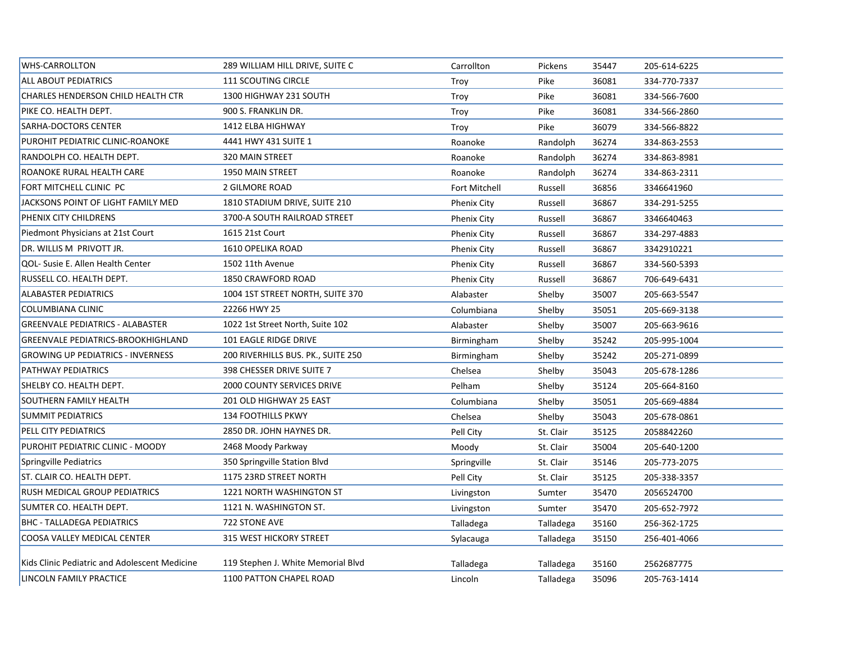| <b>WHS-CARROLLTON</b>                         | 289 WILLIAM HILL DRIVE, SUITE C    | Carrollton         | Pickens   | 35447 | 205-614-6225 |
|-----------------------------------------------|------------------------------------|--------------------|-----------|-------|--------------|
| <b>ALL ABOUT PEDIATRICS</b>                   | <b>111 SCOUTING CIRCLE</b>         | Troy               | Pike      | 36081 | 334-770-7337 |
| CHARLES HENDERSON CHILD HEALTH CTR            | 1300 HIGHWAY 231 SOUTH             | Troy               | Pike      | 36081 | 334-566-7600 |
| PIKE CO. HEALTH DEPT.                         | 900 S. FRANKLIN DR.                | Troy               | Pike      | 36081 | 334-566-2860 |
| <b>SARHA-DOCTORS CENTER</b>                   | 1412 ELBA HIGHWAY                  | Troy               | Pike      | 36079 | 334-566-8822 |
| PUROHIT PEDIATRIC CLINIC-ROANOKE              | 4441 HWY 431 SUITE 1               | Roanoke            | Randolph  | 36274 | 334-863-2553 |
| RANDOLPH CO. HEALTH DEPT.                     | 320 MAIN STREET                    | Roanoke            | Randolph  | 36274 | 334-863-8981 |
| ROANOKE RURAL HEALTH CARE                     | 1950 MAIN STREET                   | Roanoke            | Randolph  | 36274 | 334-863-2311 |
| FORT MITCHELL CLINIC PC                       | <b>2 GILMORE ROAD</b>              | Fort Mitchell      | Russell   | 36856 | 3346641960   |
| JACKSONS POINT OF LIGHT FAMILY MED            | 1810 STADIUM DRIVE, SUITE 210      | <b>Phenix City</b> | Russell   | 36867 | 334-291-5255 |
| PHENIX CITY CHILDRENS                         | 3700-A SOUTH RAILROAD STREET       | <b>Phenix City</b> | Russell   | 36867 | 3346640463   |
| Piedmont Physicians at 21st Court             | 1615 21st Court                    | <b>Phenix City</b> | Russell   | 36867 | 334-297-4883 |
| DR. WILLIS M PRIVOTT JR.                      | 1610 OPELIKA ROAD                  | <b>Phenix City</b> | Russell   | 36867 | 3342910221   |
| QOL- Susie E. Allen Health Center             | 1502 11th Avenue                   | <b>Phenix City</b> | Russell   | 36867 | 334-560-5393 |
| RUSSELL CO. HEALTH DEPT.                      | 1850 CRAWFORD ROAD                 | <b>Phenix City</b> | Russell   | 36867 | 706-649-6431 |
| <b>ALABASTER PEDIATRICS</b>                   | 1004 1ST STREET NORTH, SUITE 370   | Alabaster          | Shelby    | 35007 | 205-663-5547 |
| COLUMBIANA CLINIC                             | 22266 HWY 25                       | Columbiana         | Shelby    | 35051 | 205-669-3138 |
| <b>GREENVALE PEDIATRICS - ALABASTER</b>       | 1022 1st Street North, Suite 102   | Alabaster          | Shelby    | 35007 | 205-663-9616 |
| GREENVALE PEDIATRICS-BROOKHIGHLAND            | 101 EAGLE RIDGE DRIVE              | Birmingham         | Shelby    | 35242 | 205-995-1004 |
| <b>GROWING UP PEDIATRICS - INVERNESS</b>      | 200 RIVERHILLS BUS. PK., SUITE 250 | Birmingham         | Shelby    | 35242 | 205-271-0899 |
| PATHWAY PEDIATRICS                            | 398 CHESSER DRIVE SUITE 7          | Chelsea            | Shelby    | 35043 | 205-678-1286 |
| SHELBY CO. HEALTH DEPT.                       | <b>2000 COUNTY SERVICES DRIVE</b>  | Pelham             | Shelby    | 35124 | 205-664-8160 |
| <b>SOUTHERN FAMILY HEALTH</b>                 | 201 OLD HIGHWAY 25 EAST            | Columbiana         | Shelby    | 35051 | 205-669-4884 |
| <b>SUMMIT PEDIATRICS</b>                      | 134 FOOTHILLS PKWY                 | Chelsea            | Shelby    | 35043 | 205-678-0861 |
| PELL CITY PEDIATRICS                          | 2850 DR. JOHN HAYNES DR.           | Pell City          | St. Clair | 35125 | 2058842260   |
| PUROHIT PEDIATRIC CLINIC - MOODY              | 2468 Moody Parkway                 | Moody              | St. Clair | 35004 | 205-640-1200 |
| Springville Pediatrics                        | 350 Springville Station Blvd       | Springville        | St. Clair | 35146 | 205-773-2075 |
| ST. CLAIR CO. HEALTH DEPT.                    | 1175 23RD STREET NORTH             | Pell City          | St. Clair | 35125 | 205-338-3357 |
| RUSH MEDICAL GROUP PEDIATRICS                 | 1221 NORTH WASHINGTON ST           | Livingston         | Sumter    | 35470 | 2056524700   |
| SUMTER CO. HEALTH DEPT.                       | 1121 N. WASHINGTON ST.             | Livingston         | Sumter    | 35470 | 205-652-7972 |
| <b>BHC - TALLADEGA PEDIATRICS</b>             | 722 STONE AVE                      | Talladega          | Talladega | 35160 | 256-362-1725 |
| COOSA VALLEY MEDICAL CENTER                   | 315 WEST HICKORY STREET            | Sylacauga          | Talladega | 35150 | 256-401-4066 |
| Kids Clinic Pediatric and Adolescent Medicine | 119 Stephen J. White Memorial Blvd | Talladega          | Talladega | 35160 | 2562687775   |
| LINCOLN FAMILY PRACTICE                       | 1100 PATTON CHAPEL ROAD            | Lincoln            | Talladega | 35096 | 205-763-1414 |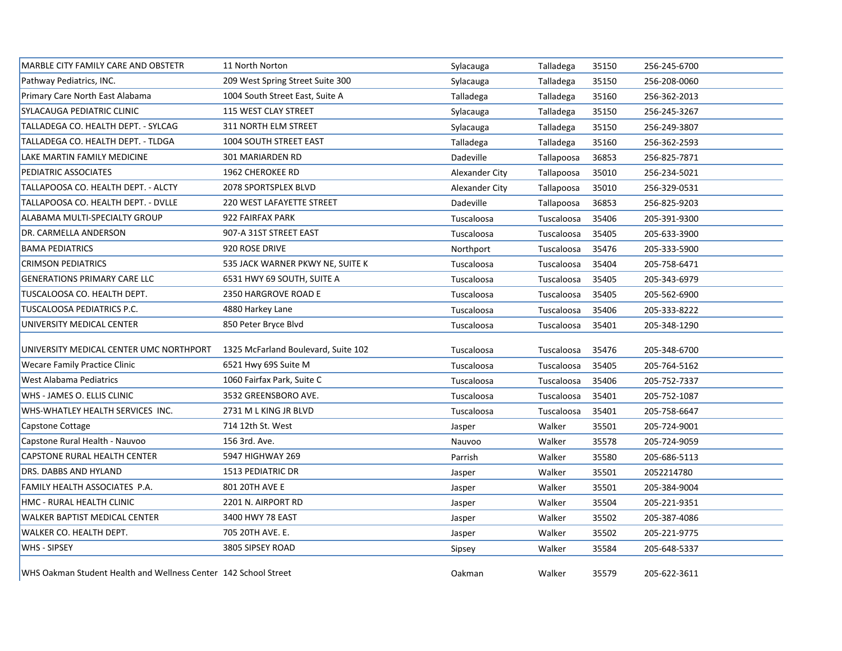| MARBLE CITY FAMILY CARE AND OBSTETR                             | 11 North Norton                     | Sylacauga      | Talladega  | 35150 | 256-245-6700 |  |
|-----------------------------------------------------------------|-------------------------------------|----------------|------------|-------|--------------|--|
| Pathway Pediatrics, INC.                                        | 209 West Spring Street Suite 300    | Sylacauga      | Talladega  | 35150 | 256-208-0060 |  |
| Primary Care North East Alabama                                 | 1004 South Street East, Suite A     | Talladega      | Talladega  | 35160 | 256-362-2013 |  |
| <b>SYLACAUGA PEDIATRIC CLINIC</b>                               | 115 WEST CLAY STREET                | Sylacauga      | Talladega  | 35150 | 256-245-3267 |  |
| TALLADEGA CO. HEALTH DEPT. - SYLCAG                             | 311 NORTH ELM STREET                | Sylacauga      | Talladega  | 35150 | 256-249-3807 |  |
| TALLADEGA CO. HEALTH DEPT. - TLDGA                              | 1004 SOUTH STREET EAST              | Talladega      | Talladega  | 35160 | 256-362-2593 |  |
| LAKE MARTIN FAMILY MEDICINE                                     | 301 MARIARDEN RD                    | Dadeville      | Tallapoosa | 36853 | 256-825-7871 |  |
| PEDIATRIC ASSOCIATES                                            | <b>1962 CHEROKEE RD</b>             | Alexander City | Tallapoosa | 35010 | 256-234-5021 |  |
| TALLAPOOSA CO. HEALTH DEPT. - ALCTY                             | 2078 SPORTSPLEX BLVD                | Alexander City | Tallapoosa | 35010 | 256-329-0531 |  |
| TALLAPOOSA CO. HEALTH DEPT. - DVLLE                             | <b>220 WEST LAFAYETTE STREET</b>    | Dadeville      | Tallapoosa | 36853 | 256-825-9203 |  |
| ALABAMA MULTI-SPECIALTY GROUP                                   | 922 FAIRFAX PARK                    | Tuscaloosa     | Tuscaloosa | 35406 | 205-391-9300 |  |
| DR. CARMELLA ANDERSON                                           | 907-A 31ST STREET EAST              | Tuscaloosa     | Tuscaloosa | 35405 | 205-633-3900 |  |
| <b>BAMA PEDIATRICS</b>                                          | 920 ROSE DRIVE                      | Northport      | Tuscaloosa | 35476 | 205-333-5900 |  |
| <b>CRIMSON PEDIATRICS</b>                                       | 535 JACK WARNER PKWY NE, SUITE K    | Tuscaloosa     | Tuscaloosa | 35404 | 205-758-6471 |  |
| <b>GENERATIONS PRIMARY CARE LLC</b>                             | 6531 HWY 69 SOUTH, SUITE A          | Tuscaloosa     | Tuscaloosa | 35405 | 205-343-6979 |  |
| TUSCALOOSA CO. HEALTH DEPT.                                     | 2350 HARGROVE ROAD E                | Tuscaloosa     | Tuscaloosa | 35405 | 205-562-6900 |  |
| TUSCALOOSA PEDIATRICS P.C.                                      | 4880 Harkey Lane                    | Tuscaloosa     | Tuscaloosa | 35406 | 205-333-8222 |  |
| UNIVERSITY MEDICAL CENTER                                       | 850 Peter Bryce Blvd                | Tuscaloosa     | Tuscaloosa | 35401 | 205-348-1290 |  |
| UNIVERSITY MEDICAL CENTER UMC NORTHPORT                         | 1325 McFarland Boulevard, Suite 102 | Tuscaloosa     | Tuscaloosa | 35476 | 205-348-6700 |  |
| <b>Wecare Family Practice Clinic</b>                            | 6521 Hwy 69S Suite M                | Tuscaloosa     | Tuscaloosa | 35405 | 205-764-5162 |  |
| West Alabama Pediatrics                                         | 1060 Fairfax Park, Suite C          | Tuscaloosa     | Tuscaloosa | 35406 | 205-752-7337 |  |
| WHS - JAMES O. ELLIS CLINIC                                     | 3532 GREENSBORO AVE.                | Tuscaloosa     | Tuscaloosa | 35401 | 205-752-1087 |  |
| WHS-WHATLEY HEALTH SERVICES INC.                                | 2731 M L KING JR BLVD               | Tuscaloosa     | Tuscaloosa | 35401 | 205-758-6647 |  |
| Capstone Cottage                                                | 714 12th St. West                   | Jasper         | Walker     | 35501 | 205-724-9001 |  |
| Capstone Rural Health - Nauvoo                                  | 156 3rd. Ave.                       | Nauvoo         | Walker     | 35578 | 205-724-9059 |  |
| CAPSTONE RURAL HEALTH CENTER                                    | 5947 HIGHWAY 269                    | Parrish        | Walker     | 35580 | 205-686-5113 |  |
| <b>DRS. DABBS AND HYLAND</b>                                    | <b>1513 PEDIATRIC DR</b>            | Jasper         | Walker     | 35501 | 2052214780   |  |
| FAMILY HEALTH ASSOCIATES P.A.                                   | 801 20TH AVE E                      | Jasper         | Walker     | 35501 | 205-384-9004 |  |
| HMC - RURAL HEALTH CLINIC                                       | 2201 N. AIRPORT RD                  | Jasper         | Walker     | 35504 | 205-221-9351 |  |
| WALKER BAPTIST MEDICAL CENTER                                   | 3400 HWY 78 EAST                    | Jasper         | Walker     | 35502 | 205-387-4086 |  |
| WALKER CO. HEALTH DEPT.                                         | 705 20TH AVE. E.                    | Jasper         | Walker     | 35502 | 205-221-9775 |  |
| <b>WHS - SIPSEY</b>                                             | 3805 SIPSEY ROAD                    | Sipsey         | Walker     | 35584 | 205-648-5337 |  |
| WHS Oakman Student Health and Wellness Center 142 School Street |                                     | Oakman         | Walker     | 35579 | 205-622-3611 |  |